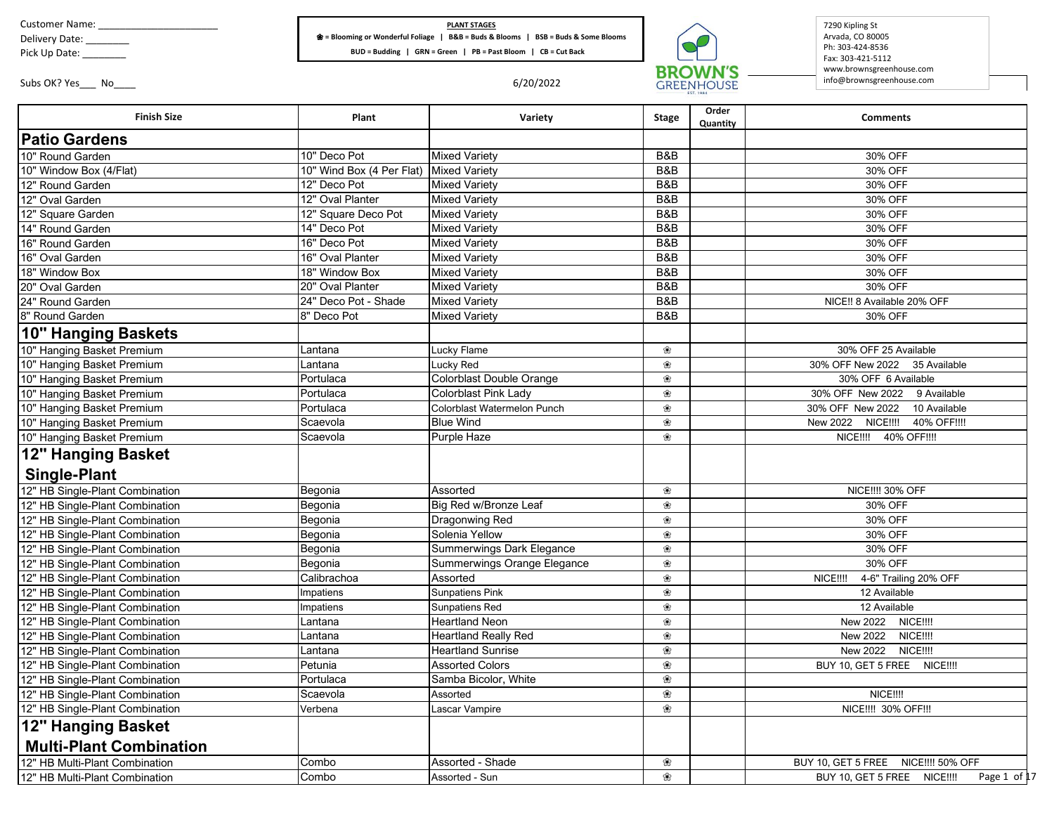Customer Name: \_\_\_\_\_\_\_\_\_\_\_\_\_\_\_\_\_\_\_\_\_\_

Delivery Date: \_\_\_\_\_\_\_\_

Pick Up Date: \_\_\_\_\_\_\_\_

 $\blacksquare$ 

## **PLANT STAGES** ❀ **= Blooming or Wonderful Foliage | B&B = Buds & Blooms | BSB = Buds & Some Blooms BUD = Budding | GRN = Green | PB = Past Bloom | CB = Cut Back**



7290 Kipling St Arvada, CO 80005 Ph: 303-424-8536 Fax: 303-421-5112 www.brownsgreenhouse.com info@brownsgreenhouse.com

٦

Subs OK? Yes\_\_\_ No\_\_\_\_ 6/20/2022

| <b>Finish Size</b>              | Plant                     | Variety                     | <b>Stage</b>   | Order<br>Quantity | <b>Comments</b>                              |
|---------------------------------|---------------------------|-----------------------------|----------------|-------------------|----------------------------------------------|
| <b>Patio Gardens</b>            |                           |                             |                |                   |                                              |
| 10" Round Garden                | 10" Deco Pot              | <b>Mixed Varietv</b>        | B&B            |                   | 30% OFF                                      |
| 10" Window Box (4/Flat)         | 10" Wind Box (4 Per Flat) | <b>Mixed Variety</b>        | B&B            |                   | 30% OFF                                      |
| 12" Round Garden                | 12" Deco Pot              | <b>Mixed Varietv</b>        | B&B            |                   | 30% OFF                                      |
| 12" Oval Garden                 | 12" Oval Planter          | <b>Mixed Variety</b>        | B&B            |                   | 30% OFF                                      |
| 12" Square Garden               | 12" Square Deco Pot       | <b>Mixed Varietv</b>        | B&B            |                   | 30% OFF                                      |
| 14" Round Garden                | 14" Deco Pot              | <b>Mixed Variety</b>        | <b>B&amp;B</b> |                   | 30% OFF                                      |
| 16" Round Garden                | 16" Deco Pot              | <b>Mixed Variety</b>        | B&B            |                   | 30% OFF                                      |
| 16" Oval Garden                 | 16" Oval Planter          | <b>Mixed Variety</b>        | B&B            |                   | 30% OFF                                      |
| 18" Window Box                  | 18" Window Box            | <b>Mixed Variety</b>        | B&B            |                   | 30% OFF                                      |
| 20" Oval Garden                 | 20" Oval Planter          | <b>Mixed Variety</b>        | B&B            |                   | 30% OFF                                      |
| 24" Round Garden                | 24" Deco Pot - Shade      | <b>Mixed Variety</b>        | <b>B&amp;B</b> |                   | NICE!! 8 Available 20% OFF                   |
| 8" Round Garden                 | 8" Deco Pot               | <b>Mixed Variety</b>        | <b>B&amp;B</b> |                   | 30% OFF                                      |
| <b>10" Hanging Baskets</b>      |                           |                             |                |                   |                                              |
| 10" Hanging Basket Premium      | Lantana                   | Lucky Flame                 | ❀              |                   | 30% OFF 25 Available                         |
| 10" Hanging Basket Premium      | Lantana                   | Lucky Red                   | ❀              |                   | 30% OFF New 2022 35 Available                |
| 10" Hanging Basket Premium      | Portulaca                 | Colorblast Double Orange    | ❀              |                   | 30% OFF 6 Available                          |
| 10" Hanging Basket Premium      | Portulaca                 | Colorblast Pink Lady        | ❀              |                   | 30% OFF New 2022<br>9 Available              |
| 10" Hanging Basket Premium      | Portulaca                 | Colorblast Watermelon Punch | ❀              |                   | 30% OFF New 2022<br>10 Available             |
| 10" Hanging Basket Premium      | Scaevola                  | <b>Blue Wind</b>            | இ              |                   | New 2022 NICE !!!!<br>40% OFF!!!!            |
| 10" Hanging Basket Premium      | Scaevola                  | <b>Purple Haze</b>          | ❀              |                   | NICE !!!! 40% OFF!!!!                        |
| 12" Hanging Basket              |                           |                             |                |                   |                                              |
| <b>Single-Plant</b>             |                           |                             |                |                   |                                              |
| 12" HB Single-Plant Combination | Begonia                   | Assorted                    | ❀              |                   | <b>NICE!!!! 30% OFF</b>                      |
| 12" HB Single-Plant Combination | Begonia                   | Big Red w/Bronze Leaf       | ❀              |                   | 30% OFF                                      |
| 12" HB Single-Plant Combination | Begonia                   | Dragonwing Red              | ❀              |                   | 30% OFF                                      |
| 12" HB Single-Plant Combination | Begonia                   | Solenia Yellow              | ❀              |                   | 30% OFF                                      |
| 12" HB Single-Plant Combination | Begonia                   | Summerwings Dark Elegance   | ❀              |                   | 30% OFF                                      |
| 12" HB Single-Plant Combination | Begonia                   | Summerwings Orange Elegance | ❀              |                   | 30% OFF                                      |
| 12" HB Single-Plant Combination | Calibrachoa               | Assorted                    | ❀              |                   | 4-6" Trailing 20% OFF<br>NICE!!!!            |
| 12" HB Single-Plant Combination | Impatiens                 | Sunpatiens Pink             | ❀              |                   | 12 Available                                 |
| 12" HB Single-Plant Combination | Impatiens                 | Sunpatiens Red              | இ              |                   | 12 Available                                 |
| 12" HB Single-Plant Combination | Lantana                   | <b>Heartland Neon</b>       | ❀              |                   | New 2022<br>NICE!!!!                         |
| 12" HB Single-Plant Combination | Lantana                   | Heartland Really Red        | ❀              |                   | New 2022<br><b>NICE!!!!</b>                  |
| 12" HB Single-Plant Combination | Lantana                   | <b>Heartland Sunrise</b>    | ❀              |                   | New 2022<br>NICE!!!!                         |
| 12" HB Single-Plant Combination | Petunia                   | <b>Assorted Colors</b>      | ❀              |                   | BUY 10, GET 5 FREE NICE !!!                  |
| 12" HB Single-Plant Combination | Portulaca                 | Samba Bicolor, White        | ❀              |                   |                                              |
| 12" HB Single-Plant Combination | Scaevola                  | Assorted                    | ❀              |                   | <b>NICE!!!!</b>                              |
| 12" HB Single-Plant Combination | Verbena                   | Lascar Vampire              | ❀              |                   | NICE !!!! 30% OFF!!!                         |
| 12" Hanging Basket              |                           |                             |                |                   |                                              |
| <b>Multi-Plant Combination</b>  |                           |                             |                |                   |                                              |
| 12" HB Multi-Plant Combination  | Combo                     | Assorted - Shade            | ❀              |                   | BUY 10, GET 5 FREE NICE !!!! 50% OFF         |
| 12" HB Multi-Plant Combination  | Combo                     | Assorted - Sun              | ❀              |                   | BUY 10, GET 5 FREE NICE !!!!<br>Page 1 of 17 |
|                                 |                           |                             |                |                   |                                              |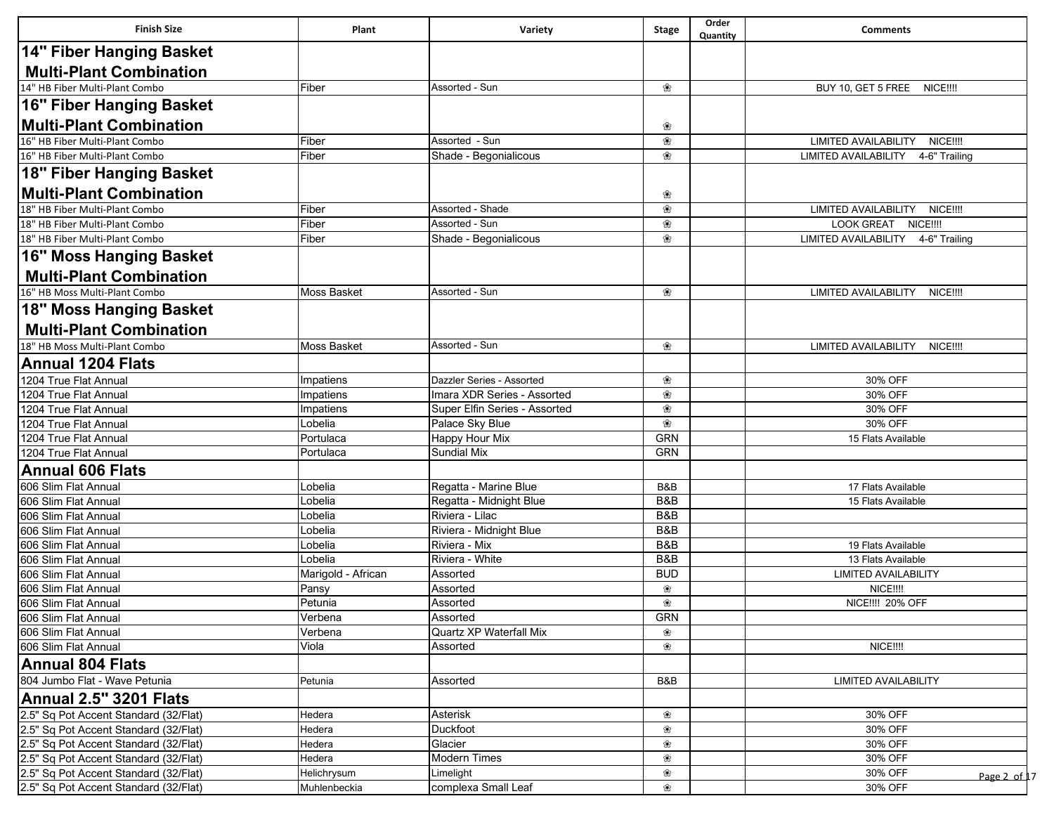| <b>Finish Size</b>                                               | Plant                       | Variety                            | Stage           | Order<br>Quantity | <b>Comments</b>                                                            |
|------------------------------------------------------------------|-----------------------------|------------------------------------|-----------------|-------------------|----------------------------------------------------------------------------|
| 14" Fiber Hanging Basket                                         |                             |                                    |                 |                   |                                                                            |
| <b>Multi-Plant Combination</b>                                   |                             |                                    |                 |                   |                                                                            |
| 14" HB Fiber Multi-Plant Combo                                   | Fiber                       | Assorted - Sun                     | ❀               |                   | BUY 10, GET 5 FREE<br><b>NICE!!!!</b>                                      |
| 16" Fiber Hanging Basket                                         |                             |                                    |                 |                   |                                                                            |
| <b>Multi-Plant Combination</b>                                   |                             |                                    |                 |                   |                                                                            |
| 16" HB Fiber Multi-Plant Combo                                   | Fiber                       | Assorted - Sun                     | ❀<br>❀          |                   | LIMITED AVAILABILITY NICE !!!!                                             |
| 16" HB Fiber Multi-Plant Combo                                   | Fiber                       | Shade - Begonialicous              | ❀               |                   | LIMITED AVAILABILITY 4-6" Trailing                                         |
| 18" Fiber Hanging Basket                                         |                             |                                    |                 |                   |                                                                            |
|                                                                  |                             |                                    |                 |                   |                                                                            |
| <b>Multi-Plant Combination</b>                                   |                             |                                    | ❀               |                   |                                                                            |
| 18" HB Fiber Multi-Plant Combo                                   | Fiber                       | Assorted - Shade<br>Assorted - Sun | ❀               |                   | LIMITED AVAILABILITY NICE !!!!                                             |
| 18" HB Fiber Multi-Plant Combo<br>18" HB Fiber Multi-Plant Combo | Fiber<br>Fiber              | Shade - Begonialicous              | ❀<br>❀          |                   | <b>LOOK GREAT</b><br><b>NICE!!!!</b><br>LIMITED AVAILABILITY 4-6" Trailing |
|                                                                  |                             |                                    |                 |                   |                                                                            |
| 16" Moss Hanging Basket                                          |                             |                                    |                 |                   |                                                                            |
| <b>Multi-Plant Combination</b>                                   |                             |                                    |                 |                   |                                                                            |
| 16" HB Moss Multi-Plant Combo                                    | Moss Basket                 | Assorted - Sun                     | ❀               |                   | LIMITED AVAILABILITY NICE !!!!                                             |
| 18" Moss Hanging Basket                                          |                             |                                    |                 |                   |                                                                            |
| <b>Multi-Plant Combination</b>                                   |                             |                                    |                 |                   |                                                                            |
| 18" HB Moss Multi-Plant Combo                                    | <b>Moss Basket</b>          | Assorted - Sun                     | ❀               |                   | <b>LIMITED AVAILABILITY</b><br><b>NICE!!!!</b>                             |
| <b>Annual 1204 Flats</b>                                         |                             |                                    |                 |                   |                                                                            |
| 1204 True Flat Annual                                            | Impatiens                   | Dazzler Series - Assorted          | ❀               |                   | 30% OFF                                                                    |
| 1204 True Flat Annual                                            | Impatiens                   | Imara XDR Series - Assorted        | ❀               |                   | 30% OFF                                                                    |
| 1204 True Flat Annual                                            | Impatiens                   | Super Elfin Series - Assorted      | ❀               |                   | 30% OFF                                                                    |
| 1204 True Flat Annual                                            | Lobelia                     | Palace Sky Blue                    | ❀               |                   | 30% OFF                                                                    |
| 1204 True Flat Annual                                            | Portulaca                   | Happy Hour Mix                     | GRN             |                   | 15 Flats Available                                                         |
| 1204 True Flat Annual                                            | Portulaca                   | <b>Sundial Mix</b>                 | <b>GRN</b>      |                   |                                                                            |
| <b>Annual 606 Flats</b>                                          |                             |                                    |                 |                   |                                                                            |
| 606 Slim Flat Annual                                             | Lobelia                     | Regatta - Marine Blue              | B&B             |                   | 17 Flats Available                                                         |
| 606 Slim Flat Annual                                             | Lobelia                     | Regatta - Midnight Blue            | B&B             |                   | 15 Flats Available                                                         |
| 606 Slim Flat Annual                                             | ∟obelia                     | Riviera - Lilac                    | B&B             |                   |                                                                            |
| 606 Slim Flat Annual                                             | Lobelia                     | Riviera - Midnight Blue            | B&B             |                   |                                                                            |
| 606 Slim Flat Annual                                             | Lobelia                     | Riviera - Mix                      | B&B             |                   | 19 Flats Available                                                         |
| 606 Slim Flat Annual                                             | Lobelia                     | Riviera - White                    | B&B             |                   | 13 Flats Available                                                         |
| 606 Slim Flat Annual<br>606 Slim Flat Annual                     | Marigold - African<br>Pansy | Assorted<br>Assorted               | <b>BUD</b><br>❀ |                   | LIMITED AVAILABILITY<br>NICE !!!!                                          |
| 606 Slim Flat Annual                                             | Petunia                     | Assorted                           | ❀               |                   | NICE !!!! 20% OFF                                                          |
| 606 Slim Flat Annual                                             | Verbena                     | Assorted                           | <b>GRN</b>      |                   |                                                                            |
| 606 Slim Flat Annual                                             | Verbena                     | Quartz XP Waterfall Mix            | ❀               |                   |                                                                            |
| 606 Slim Flat Annual                                             | Viola                       | Assorted                           | ❀               |                   | NICE !!!!                                                                  |
| <b>Annual 804 Flats</b>                                          |                             |                                    |                 |                   |                                                                            |
| 804 Jumbo Flat - Wave Petunia                                    | Petunia                     | Assorted                           | B&B             |                   | <b>LIMITED AVAILABILITY</b>                                                |
| Annual 2.5" 3201 Flats                                           |                             |                                    |                 |                   |                                                                            |
| 2.5" Sq Pot Accent Standard (32/Flat)                            | Hedera                      | Asterisk                           | ❀               |                   | 30% OFF                                                                    |
| 2.5" Sq Pot Accent Standard (32/Flat)                            | Hedera                      | Duckfoot                           | ❀               |                   | 30% OFF                                                                    |
| 2.5" Sq Pot Accent Standard (32/Flat)                            | Hedera                      | Glacier                            | ❀               |                   | 30% OFF                                                                    |
| 2.5" Sq Pot Accent Standard (32/Flat)                            | Hedera                      | Modern Times                       | ❀               |                   | 30% OFF                                                                    |
| 2.5" Sq Pot Accent Standard (32/Flat)                            | Helichrysum                 | Limelight                          | ❀               |                   | 30% OFF<br>Page 2 of 17                                                    |
| 2.5" Sq Pot Accent Standard (32/Flat)                            | Muhlenbeckia                | complexa Small Leaf                | ❀               |                   | 30% OFF                                                                    |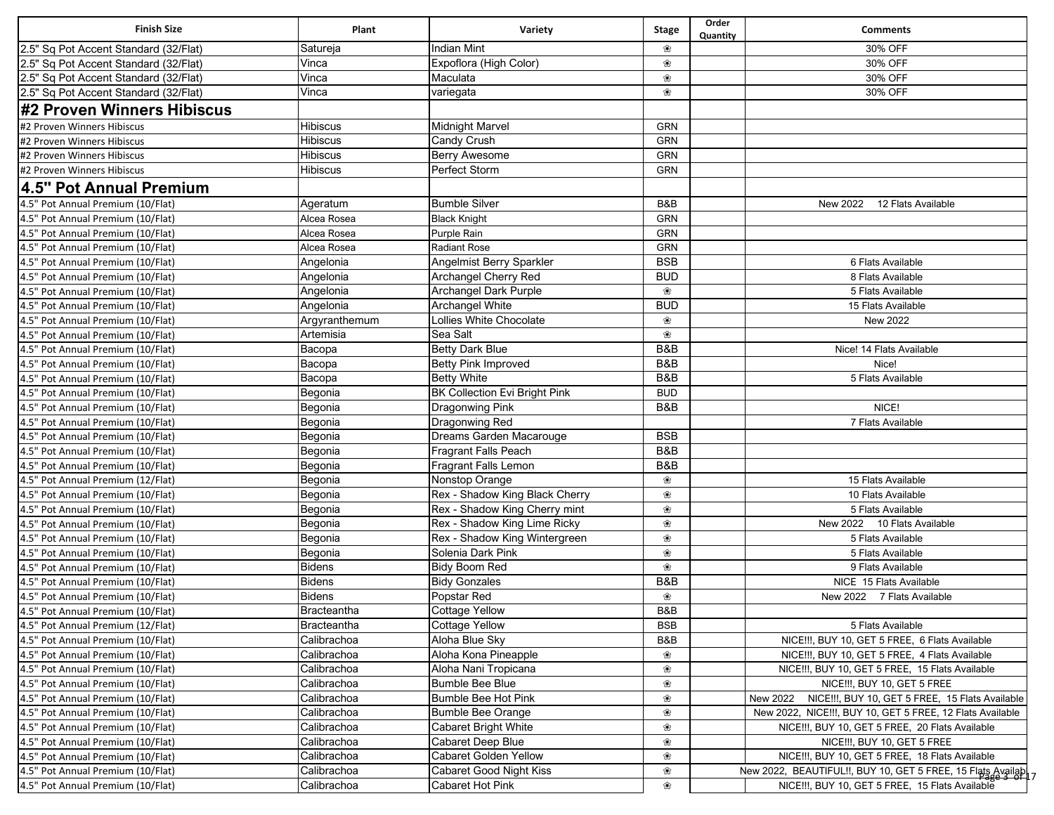| <b>Finish Size</b>                    | Plant         | Variety                              | <b>Stage</b>   | Order<br>Quantity | <b>Comments</b>                                               |
|---------------------------------------|---------------|--------------------------------------|----------------|-------------------|---------------------------------------------------------------|
| 2.5" Sq Pot Accent Standard (32/Flat) | Satureja      | <b>Indian Mint</b>                   | ❀              |                   | 30% OFF                                                       |
| 2.5" Sq Pot Accent Standard (32/Flat) | Vinca         | Expoflora (High Color)               | ❀              |                   | 30% OFF                                                       |
| 2.5" Sq Pot Accent Standard (32/Flat) | Vinca         | Maculata                             | ❀              |                   | 30% OFF                                                       |
| 2.5" Sq Pot Accent Standard (32/Flat) | Vinca         | variegata                            | ❀              |                   | 30% OFF                                                       |
| #2 Proven Winners Hibiscus            |               |                                      |                |                   |                                                               |
| #2 Proven Winners Hibiscus            | Hibiscus      | <b>Midnight Marvel</b>               | GRN            |                   |                                                               |
| #2 Proven Winners Hibiscus            | Hibiscus      | Candy Crush                          | GRN            |                   |                                                               |
| #2 Proven Winners Hibiscus            | Hibiscus      | Berry Awesome                        | GRN            |                   |                                                               |
| #2 Proven Winners Hibiscus            | Hibiscus      | Perfect Storm                        | GRN            |                   |                                                               |
| 4.5" Pot Annual Premium               |               |                                      |                |                   |                                                               |
| 4.5" Pot Annual Premium (10/Flat)     | Ageratum      | <b>Bumble Silver</b>                 | B&B            |                   | New 2022<br>12 Flats Available                                |
| 4.5" Pot Annual Premium (10/Flat)     | Alcea Rosea   | <b>Black Knight</b>                  | GRN            |                   |                                                               |
| 4.5" Pot Annual Premium (10/Flat)     | Alcea Rosea   | Purple Rain                          | GRN            |                   |                                                               |
| 4.5" Pot Annual Premium (10/Flat)     | Alcea Rosea   | <b>Radiant Rose</b>                  | GRN            |                   |                                                               |
| 4.5" Pot Annual Premium (10/Flat)     | Angelonia     | Angelmist Berry Sparkler             | <b>BSB</b>     |                   | 6 Flats Available                                             |
| 4.5" Pot Annual Premium (10/Flat)     | Angelonia     | Archangel Cherry Red                 | <b>BUD</b>     |                   | 8 Flats Available                                             |
| 4.5" Pot Annual Premium (10/Flat)     | Angelonia     | Archangel Dark Purple                | ❀              |                   | 5 Flats Available                                             |
| 4.5" Pot Annual Premium (10/Flat)     | Angelonia     | Archangel White                      | <b>BUD</b>     |                   | 15 Flats Available                                            |
| 4.5" Pot Annual Premium (10/Flat)     | Argyranthemum | Lollies White Chocolate              | ❀              |                   | <b>New 2022</b>                                               |
| 4.5" Pot Annual Premium (10/Flat)     | Artemisia     | Sea Salt                             | ❀              |                   |                                                               |
| 4.5" Pot Annual Premium (10/Flat)     | Bacopa        | <b>Betty Dark Blue</b>               | B&B            |                   | Nice! 14 Flats Available                                      |
| 4.5" Pot Annual Premium (10/Flat)     | Bacopa        | Betty Pink Improved                  | B&B            |                   | Nice!                                                         |
| 4.5" Pot Annual Premium (10/Flat)     | Bacopa        | <b>Betty White</b>                   | <b>B&amp;B</b> |                   | 5 Flats Available                                             |
| 4.5" Pot Annual Premium (10/Flat)     | Begonia       | <b>BK Collection Evi Bright Pink</b> | <b>BUD</b>     |                   |                                                               |
| 4.5" Pot Annual Premium (10/Flat)     | Begonia       | <b>Dragonwing Pink</b>               | B&B            |                   | NICE!                                                         |
| 4.5" Pot Annual Premium (10/Flat)     | Begonia       | <b>Dragonwing Red</b>                |                |                   | 7 Flats Available                                             |
| 4.5" Pot Annual Premium (10/Flat)     | Begonia       | Dreams Garden Macarouge              | <b>BSB</b>     |                   |                                                               |
| 4.5" Pot Annual Premium (10/Flat)     | Begonia       | Fragrant Falls Peach                 | B&B            |                   |                                                               |
| 4.5" Pot Annual Premium (10/Flat)     | Begonia       | Fragrant Falls Lemon                 | B&B            |                   |                                                               |
| 4.5" Pot Annual Premium (12/Flat)     | Begonia       | Nonstop Orange                       | ❀              |                   | 15 Flats Available                                            |
| 4.5" Pot Annual Premium (10/Flat)     | Begonia       | Rex - Shadow King Black Cherry       | ❀              |                   | 10 Flats Available                                            |
| 4.5" Pot Annual Premium (10/Flat)     | Begonia       | Rex - Shadow King Cherry mint        | ❀              |                   | 5 Flats Available                                             |
| 4.5" Pot Annual Premium (10/Flat)     | Begonia       | Rex - Shadow King Lime Ricky         | ❀              |                   | New 2022 10 Flats Available                                   |
| 4.5" Pot Annual Premium (10/Flat)     | Begonia       | Rex - Shadow King Wintergreen        | ❀              |                   | 5 Flats Available                                             |
| 4.5" Pot Annual Premium (10/Flat)     | Begonia       | Solenia Dark Pink                    | ❀              |                   | 5 Flats Available                                             |
| 4.5" Pot Annual Premium (10/Flat)     | <b>Bidens</b> | <b>Bidy Boom Red</b>                 | ❀              |                   | 9 Flats Available                                             |
| 4.5" Pot Annual Premium (10/Flat)     | <b>Bidens</b> | <b>Bidy Gonzales</b>                 | B&B            |                   | NICE 15 Flats Available                                       |
| 4.5" Pot Annual Premium (10/Flat)     | <b>Bidens</b> | Popstar Red                          | ❀              |                   | New 2022 7 Flats Available                                    |
| 4.5" Pot Annual Premium (10/Flat)     | Bracteantha   | <b>Cottage Yellow</b>                | B&B            |                   |                                                               |
| 4.5" Pot Annual Premium (12/Flat)     | Bracteantha   | <b>Cottage Yellow</b>                | <b>BSB</b>     |                   | 5 Flats Available                                             |
| 4.5" Pot Annual Premium (10/Flat)     | Calibrachoa   | Aloha Blue Sky                       | B&B            |                   | NICE !!!, BUY 10, GET 5 FREE, 6 Flats Available               |
| 4.5" Pot Annual Premium (10/Flat)     | Calibrachoa   | Aloha Kona Pineapple                 | ❀              |                   | NICE !!!, BUY 10, GET 5 FREE, 4 Flats Available               |
| 4.5" Pot Annual Premium (10/Flat)     | Calibrachoa   | Aloha Nani Tropicana                 | ❀              |                   | NICE !!!, BUY 10, GET 5 FREE, 15 Flats Available              |
| 4.5" Pot Annual Premium (10/Flat)     | Calibrachoa   | <b>Bumble Bee Blue</b>               | ❀              |                   | NICE !!!, BUY 10, GET 5 FREE                                  |
| 4.5" Pot Annual Premium (10/Flat)     | Calibrachoa   | Bumble Bee Hot Pink                  | ❀              |                   | NICE!!!, BUY 10, GET 5 FREE, 15 Flats Available<br>New 2022   |
| 4.5" Pot Annual Premium (10/Flat)     | Calibrachoa   | <b>Bumble Bee Orange</b>             | ❀              |                   | New 2022, NICE !!!, BUY 10, GET 5 FREE, 12 Flats Available    |
| 4.5" Pot Annual Premium (10/Flat)     | Calibrachoa   | <b>Cabaret Bright White</b>          | ❀              |                   | NICE !!!, BUY 10, GET 5 FREE, 20 Flats Available              |
| 4.5" Pot Annual Premium (10/Flat)     | Calibrachoa   | Cabaret Deep Blue                    | ❀              |                   | NICE !!!, BUY 10, GET 5 FREE                                  |
| 4.5" Pot Annual Premium (10/Flat)     | Calibrachoa   | Cabaret Golden Yellow                | ❀              |                   | NICE !!!, BUY 10, GET 5 FREE, 18 Flats Available              |
| 4.5" Pot Annual Premium (10/Flat)     | Calibrachoa   | <b>Cabaret Good Night Kiss</b>       | ❀              |                   | New 2022, BEAUTIFUL!!, BUY 10, GET 5 FREE, 15 Flats Available |
| 4.5" Pot Annual Premium (10/Flat)     | Calibrachoa   | Cabaret Hot Pink                     | ❀              |                   | NICE !!!, BUY 10, GET 5 FREE, 15 Flats Available              |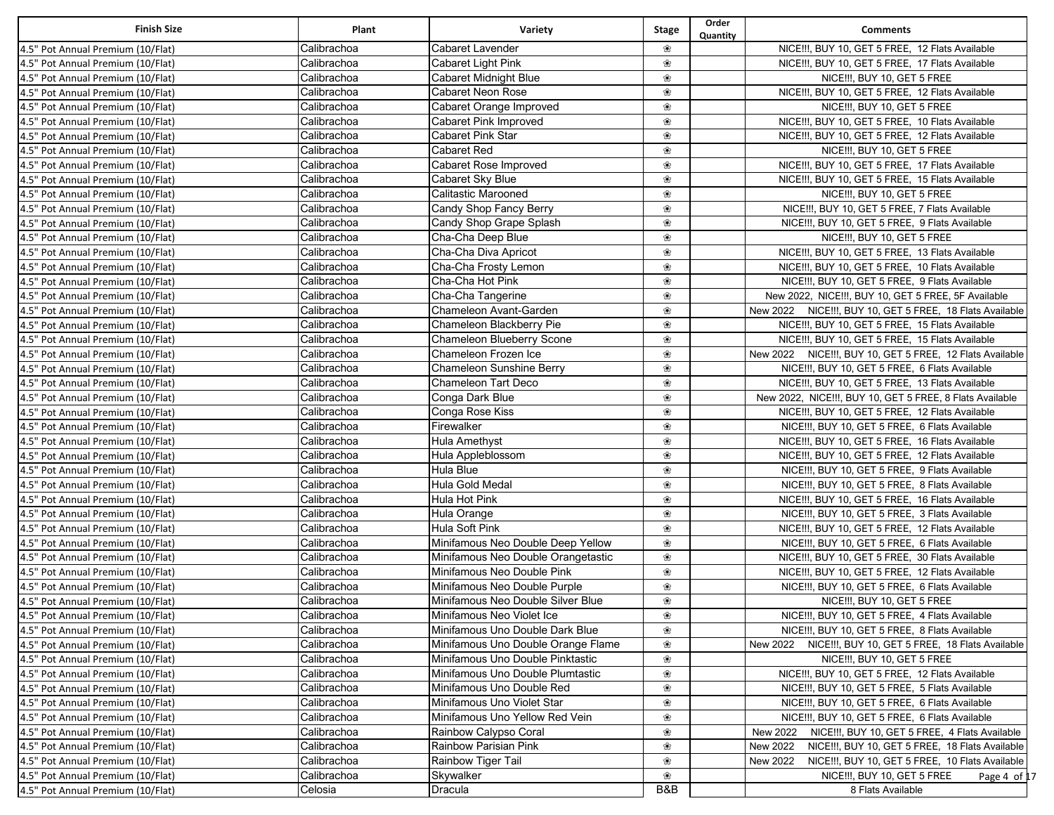| <b>Finish Size</b>                                                     | Plant       | Variety                            | <b>Stage</b> | Order<br>Quantity | <b>Comments</b>                                             |
|------------------------------------------------------------------------|-------------|------------------------------------|--------------|-------------------|-------------------------------------------------------------|
| 4.5" Pot Annual Premium (10/Flat)                                      | Calibrachoa | <b>Cabaret Lavender</b>            | ❀            |                   | NICE !!!, BUY 10, GET 5 FREE, 12 Flats Available            |
| 4.5" Pot Annual Premium (10/Flat)                                      | Calibrachoa | Cabaret Light Pink                 | ❀            |                   | NICE !!!, BUY 10, GET 5 FREE, 17 Flats Available            |
| 4.5" Pot Annual Premium (10/Flat)                                      | Calibrachoa | Cabaret Midnight Blue              | ❀            |                   | NICE !!!, BUY 10, GET 5 FREE                                |
| 4.5" Pot Annual Premium (10/Flat)                                      | Calibrachoa | Cabaret Neon Rose                  | ❀            |                   | NICE !!!, BUY 10, GET 5 FREE, 12 Flats Available            |
| 4.5" Pot Annual Premium (10/Flat)                                      | Calibrachoa | Cabaret Orange Improved            | ❀            |                   | NICE !!!, BUY 10, GET 5 FREE                                |
| 4.5" Pot Annual Premium (10/Flat)                                      | Calibrachoa | Cabaret Pink Improved              | ❀            |                   | NICE !!!, BUY 10, GET 5 FREE, 10 Flats Available            |
| 4.5" Pot Annual Premium (10/Flat)                                      | Calibrachoa | Cabaret Pink Star                  | ❀            |                   | NICE !!!, BUY 10, GET 5 FREE, 12 Flats Available            |
| 4.5" Pot Annual Premium (10/Flat)                                      | Calibrachoa | Cabaret Red                        | ❀            |                   | NICE !!!, BUY 10, GET 5 FREE                                |
| 4.5" Pot Annual Premium (10/Flat)                                      | Calibrachoa | Cabaret Rose Improved              | ❀            |                   | NICE !!!, BUY 10, GET 5 FREE, 17 Flats Available            |
| 4.5" Pot Annual Premium (10/Flat)                                      | Calibrachoa | Cabaret Sky Blue                   | ❀            |                   | NICE !!!, BUY 10, GET 5 FREE, 15 Flats Available            |
| 4.5" Pot Annual Premium (10/Flat)                                      | Calibrachoa | <b>Calitastic Marooned</b>         | ❀            |                   | NICE !!!, BUY 10, GET 5 FREE                                |
| 4.5" Pot Annual Premium (10/Flat)                                      | Calibrachoa | Candy Shop Fancy Berry             | ❀            |                   | NICE !!!, BUY 10, GET 5 FREE, 7 Flats Available             |
| 4.5" Pot Annual Premium (10/Flat)                                      | Calibrachoa | Candy Shop Grape Splash            | ❀            |                   | NICE!!!, BUY 10, GET 5 FREE, 9 Flats Available              |
| 4.5" Pot Annual Premium (10/Flat)                                      | Calibrachoa | Cha-Cha Deep Blue                  | ❀            |                   | NICE !!!, BUY 10, GET 5 FREE                                |
| 4.5" Pot Annual Premium (10/Flat)                                      | Calibrachoa | Cha-Cha Diva Apricot               | ❀            |                   | NICE !!!, BUY 10, GET 5 FREE, 13 Flats Available            |
| 4.5" Pot Annual Premium (10/Flat)                                      | Calibrachoa | Cha-Cha Frosty Lemon               | ❀            |                   | NICE !!!, BUY 10, GET 5 FREE, 10 Flats Available            |
| 4.5" Pot Annual Premium (10/Flat)                                      | Calibrachoa | Cha-Cha Hot Pink                   | ❀            |                   | NICE!!!, BUY 10, GET 5 FREE, 9 Flats Available              |
| 4.5" Pot Annual Premium (10/Flat)                                      | Calibrachoa | Cha-Cha Tangerine                  | ❀            |                   | New 2022, NICE !!!, BUY 10, GET 5 FREE, 5F Available        |
| 4.5" Pot Annual Premium (10/Flat)                                      | Calibrachoa | Chameleon Avant-Garden             | ❀            |                   | New 2022 NICE!!!, BUY 10, GET 5 FREE, 18 Flats Available    |
| 4.5" Pot Annual Premium (10/Flat)                                      | Calibrachoa | Chameleon Blackberry Pie           | ❀            |                   | NICE !!!, BUY 10, GET 5 FREE, 15 Flats Available            |
| 4.5" Pot Annual Premium (10/Flat)                                      | Calibrachoa | Chameleon Blueberry Scone          | ❀            |                   | NICE !!!, BUY 10, GET 5 FREE, 15 Flats Available            |
| 4.5" Pot Annual Premium (10/Flat)                                      | Calibrachoa | Chameleon Frozen Ice               | ❀            |                   | New 2022 NICE!!!, BUY 10, GET 5 FREE, 12 Flats Available    |
| 4.5" Pot Annual Premium (10/Flat)                                      | Calibrachoa | Chameleon Sunshine Berry           | ❀            |                   | NICE!!!, BUY 10, GET 5 FREE, 6 Flats Available              |
| 4.5" Pot Annual Premium (10/Flat)                                      | Calibrachoa | <b>Chameleon Tart Deco</b>         | ❀            |                   | NICE !!!, BUY 10, GET 5 FREE, 13 Flats Available            |
| 4.5" Pot Annual Premium (10/Flat)                                      | Calibrachoa | Conga Dark Blue                    | ❀            |                   | New 2022, NICE !!!, BUY 10, GET 5 FREE, 8 Flats Available   |
| 4.5" Pot Annual Premium (10/Flat)                                      | Calibrachoa | Conga Rose Kiss                    | ❀            |                   | NICE !!!, BUY 10, GET 5 FREE, 12 Flats Available            |
| 4.5" Pot Annual Premium (10/Flat)                                      | Calibrachoa | Firewalker                         | ❀            |                   | NICE!!!, BUY 10, GET 5 FREE, 6 Flats Available              |
| 4.5" Pot Annual Premium (10/Flat)                                      | Calibrachoa | Hula Amethyst                      | ❀            |                   | NICE !!!, BUY 10, GET 5 FREE, 16 Flats Available            |
| 4.5" Pot Annual Premium (10/Flat)                                      | Calibrachoa | Hula Appleblossom                  | ❀            |                   | NICE !!!, BUY 10, GET 5 FREE, 12 Flats Available            |
| 4.5" Pot Annual Premium (10/Flat)                                      | Calibrachoa | Hula Blue                          | ❀            |                   | NICE !!!, BUY 10, GET 5 FREE, 9 Flats Available             |
| 4.5" Pot Annual Premium (10/Flat)                                      | Calibrachoa | Hula Gold Medal                    | ❀            |                   | NICE!!!, BUY 10, GET 5 FREE, 8 Flats Available              |
| 4.5" Pot Annual Premium (10/Flat)                                      | Calibrachoa | Hula Hot Pink                      | ❀            |                   | NICE !!!, BUY 10, GET 5 FREE, 16 Flats Available            |
| 4.5" Pot Annual Premium (10/Flat)                                      | Calibrachoa | Hula Orange                        | ❀            |                   | NICE !!!, BUY 10, GET 5 FREE, 3 Flats Available             |
| 4.5" Pot Annual Premium (10/Flat)                                      | Calibrachoa | Hula Soft Pink                     | ❀            |                   | NICE !!!, BUY 10, GET 5 FREE, 12 Flats Available            |
| 4.5" Pot Annual Premium (10/Flat)                                      | Calibrachoa | Minifamous Neo Double Deep Yellow  | ❀            |                   | NICE !!!, BUY 10, GET 5 FREE, 6 Flats Available             |
| 4.5" Pot Annual Premium (10/Flat)                                      | Calibrachoa | Minifamous Neo Double Orangetastic | ❀            |                   | NICE !!!, BUY 10, GET 5 FREE, 30 Flats Available            |
| 4.5" Pot Annual Premium (10/Flat)                                      | Calibrachoa | Minifamous Neo Double Pink         | ❀            |                   | NICE !!!, BUY 10, GET 5 FREE, 12 Flats Available            |
| 4.5" Pot Annual Premium (10/Flat)                                      | Calibrachoa | Minifamous Neo Double Purple       | ❀            |                   | NICE!!!, BUY 10, GET 5 FREE, 6 Flats Available              |
| 4.5" Pot Annual Premium (10/Flat)                                      | Calibrachoa | Minifamous Neo Double Silver Blue  | ❀            |                   | NICE !!!, BUY 10, GET 5 FREE                                |
| 4.5" Pot Annual Premium (10/Flat)                                      | Calibrachoa | Minifamous Neo Violet Ice          | ❀            |                   | NICE !!!, BUY 10, GET 5 FREE, 4 Flats Available             |
| 4.5" Pot Annual Premium (10/Flat)                                      | Calibrachoa | Minifamous Uno Double Dark Blue    | ❀            |                   | NICE !!!, BUY 10, GET 5 FREE, 8 Flats Available             |
| 4.5" Pot Annual Premium (10/Flat)                                      | Calibrachoa | Minifamous Uno Double Orange Flame | ❀            |                   | New 2022<br>NICE!!!, BUY 10, GET 5 FREE, 18 Flats Available |
| 4.5" Pot Annual Premium (10/Flat)                                      | Calibrachoa | Minifamous Uno Double Pinktastic   | ❀            |                   | NICE !!!, BUY 10, GET 5 FREE                                |
| 4.5" Pot Annual Premium (10/Flat)                                      | Calibrachoa | Minifamous Uno Double Plumtastic   | ❀            |                   | NICE !!!, BUY 10, GET 5 FREE, 12 Flats Available            |
| 4.5" Pot Annual Premium (10/Flat)                                      | Calibrachoa | Minifamous Uno Double Red          | ❀            |                   | NICE!!!, BUY 10, GET 5 FREE, 5 Flats Available              |
| 4.5" Pot Annual Premium (10/Flat)                                      | Calibrachoa | Minifamous Uno Violet Star         | ❀            |                   | NICE !!!, BUY 10, GET 5 FREE, 6 Flats Available             |
| 4.5" Pot Annual Premium (10/Flat)                                      | Calibrachoa | Minifamous Uno Yellow Red Vein     | ❀            |                   | NICE !!!, BUY 10, GET 5 FREE, 6 Flats Available             |
| 4.5" Pot Annual Premium (10/Flat)                                      | Calibrachoa | Rainbow Calypso Coral              | ❀            |                   | NICE !!!, BUY 10, GET 5 FREE, 4 Flats Available<br>New 2022 |
| 4.5" Pot Annual Premium (10/Flat)                                      | Calibrachoa | Rainbow Parisian Pink              | ❀            |                   | New 2022<br>NICE!!!, BUY 10, GET 5 FREE, 18 Flats Available |
|                                                                        | Calibrachoa | Rainbow Tiger Tail                 | ❀            |                   | New 2022<br>NICE!!!, BUY 10, GET 5 FREE, 10 Flats Available |
| 4.5" Pot Annual Premium (10/Flat)<br>4.5" Pot Annual Premium (10/Flat) | Calibrachoa |                                    | ❀            |                   | NICE !!!, BUY 10, GET 5 FREE                                |
| 4.5" Pot Annual Premium (10/Flat)                                      | Celosia     | Skywalker<br>Dracula               | B&B          |                   | Page 4 of 17<br>8 Flats Available                           |
|                                                                        |             |                                    |              |                   |                                                             |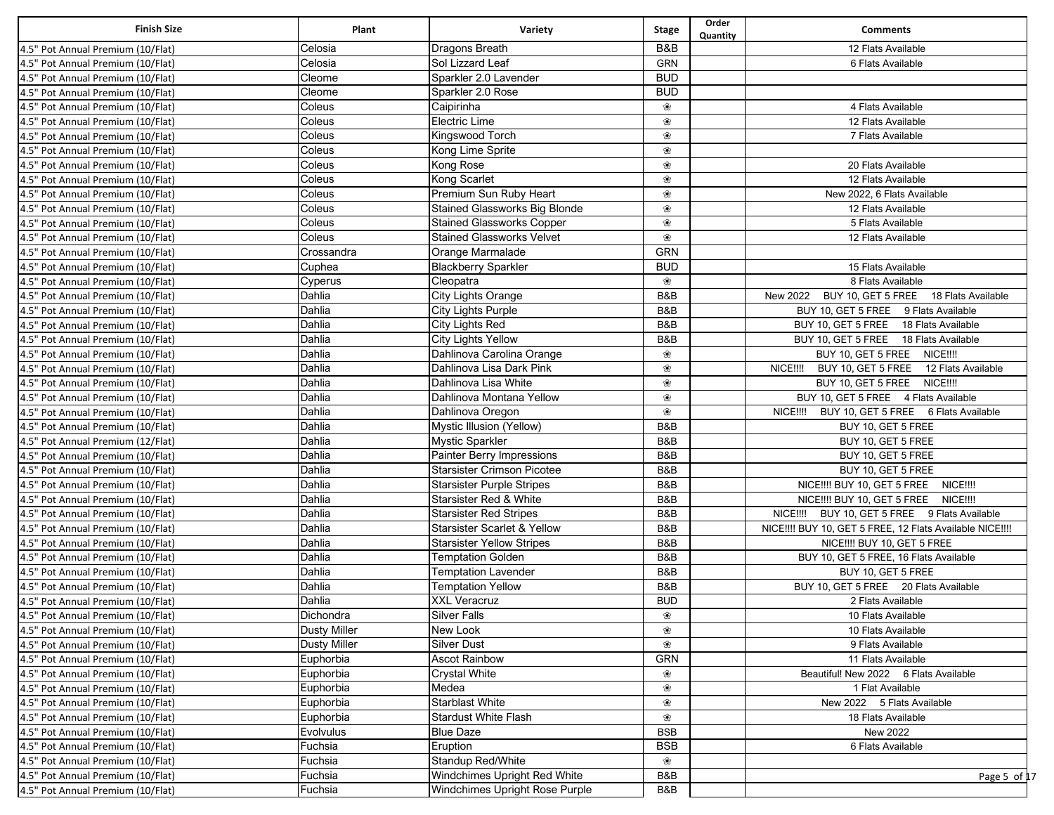| <b>Finish Size</b>                | Plant               | Variety                              | <b>Stage</b> | Order<br>Quantity | <b>Comments</b>                                           |
|-----------------------------------|---------------------|--------------------------------------|--------------|-------------------|-----------------------------------------------------------|
| 4.5" Pot Annual Premium (10/Flat) | Celosia             | Dragons Breath                       | B&B          |                   | 12 Flats Available                                        |
| 4.5" Pot Annual Premium (10/Flat) | Celosia             | Sol Lizzard Leaf                     | <b>GRN</b>   |                   | 6 Flats Available                                         |
| 4.5" Pot Annual Premium (10/Flat) | Cleome              | Sparkler 2.0 Lavender                | <b>BUD</b>   |                   |                                                           |
| 4.5" Pot Annual Premium (10/Flat) | Cleome              | Sparkler 2.0 Rose                    | <b>BUD</b>   |                   |                                                           |
| 4.5" Pot Annual Premium (10/Flat) | Coleus              | Caipirinha                           | ❀            |                   | 4 Flats Available                                         |
| 4.5" Pot Annual Premium (10/Flat) | Coleus              | Electric Lime                        | ❀            |                   | 12 Flats Available                                        |
| 4.5" Pot Annual Premium (10/Flat) | Coleus              | Kingswood Torch                      | ❀            |                   | 7 Flats Available                                         |
| 4.5" Pot Annual Premium (10/Flat) | Coleus              | Kong Lime Sprite                     | ❀            |                   |                                                           |
| 4.5" Pot Annual Premium (10/Flat) | Coleus              | Kong Rose                            | ❀            |                   | 20 Flats Available                                        |
| 4.5" Pot Annual Premium (10/Flat) | Coleus              | Kong Scarlet                         | ❀            |                   | 12 Flats Available                                        |
| 4.5" Pot Annual Premium (10/Flat) | Coleus              | Premium Sun Ruby Heart               | ❀            |                   | New 2022, 6 Flats Available                               |
| 4.5" Pot Annual Premium (10/Flat) | Coleus              | <b>Stained Glassworks Big Blonde</b> | ❀            |                   | 12 Flats Available                                        |
| 4.5" Pot Annual Premium (10/Flat) | Coleus              | <b>Stained Glassworks Copper</b>     | ❀            |                   | 5 Flats Available                                         |
| 4.5" Pot Annual Premium (10/Flat) | Coleus              | <b>Stained Glassworks Velvet</b>     | ❀            |                   | 12 Flats Available                                        |
| 4.5" Pot Annual Premium (10/Flat) | Crossandra          | Orange Marmalade                     | <b>GRN</b>   |                   |                                                           |
| 4.5" Pot Annual Premium (10/Flat) | Cuphea              | <b>Blackberry Sparkler</b>           | <b>BUD</b>   |                   | 15 Flats Available                                        |
| 4.5" Pot Annual Premium (10/Flat) | Cyperus             | Cleopatra                            | ❀            |                   | 8 Flats Available                                         |
| 4.5" Pot Annual Premium (10/Flat) | Dahlia              | City Lights Orange                   | B&B          |                   | New 2022 BUY 10, GET 5 FREE 18 Flats Available            |
| 4.5" Pot Annual Premium (10/Flat) | Dahlia              | City Lights Purple                   | B&B          |                   | BUY 10, GET 5 FREE 9 Flats Available                      |
| 4.5" Pot Annual Premium (10/Flat) | Dahlia              | City Lights Red                      | B&B          |                   | BUY 10, GET 5 FREE 18 Flats Available                     |
| 4.5" Pot Annual Premium (10/Flat) | Dahlia              | <b>City Lights Yellow</b>            | B&B          |                   | BUY 10, GET 5 FREE 18 Flats Available                     |
| 4.5" Pot Annual Premium (10/Flat) | Dahlia              | Dahlinova Carolina Orange            | ❀            |                   | BUY 10, GET 5 FREE NICE !!!                               |
| 4.5" Pot Annual Premium (10/Flat) | Dahlia              | Dahlinova Lisa Dark Pink             | ❀            |                   | NICE!!!! BUY 10, GET 5 FREE 12 Flats Available            |
| 4.5" Pot Annual Premium (10/Flat) | Dahlia              | Dahlinova Lisa White                 | ❀            |                   | BUY 10, GET 5 FREE NICE !!!                               |
| 4.5" Pot Annual Premium (10/Flat) | Dahlia              | Dahlinova Montana Yellow             | ❀            |                   | BUY 10, GET 5 FREE 4 Flats Available                      |
| 4.5" Pot Annual Premium (10/Flat) | Dahlia              | Dahlinova Oregon                     | ❀            |                   | NICE!!!! BUY 10, GET 5 FREE 6 Flats Available             |
| 4.5" Pot Annual Premium (10/Flat) | Dahlia              | Mystic Illusion (Yellow)             | B&B          |                   | BUY 10, GET 5 FREE                                        |
| 4.5" Pot Annual Premium (12/Flat) | Dahlia              | <b>Mystic Sparkler</b>               | B&B          |                   | BUY 10, GET 5 FREE                                        |
| 4.5" Pot Annual Premium (10/Flat) | Dahlia              | Painter Berry Impressions            | B&B          |                   | BUY 10, GET 5 FREE                                        |
| 4.5" Pot Annual Premium (10/Flat) | Dahlia              | <b>Starsister Crimson Picotee</b>    | B&B          |                   | BUY 10, GET 5 FREE                                        |
| 4.5" Pot Annual Premium (10/Flat) | Dahlia              | <b>Starsister Purple Stripes</b>     | B&B          |                   | NICE !!! BUY 10, GET 5 FREE NICE !!!                      |
| 4.5" Pot Annual Premium (10/Flat) | Dahlia              | Starsister Red & White               | B&B          |                   | NICE !!! BUY 10, GET 5 FREE NICE !!!!                     |
| 4.5" Pot Annual Premium (10/Flat) | Dahlia              | <b>Starsister Red Stripes</b>        | B&B          |                   | NICE!!!! BUY 10, GET 5 FREE 9 Flats Available             |
| 4.5" Pot Annual Premium (10/Flat) | Dahlia              | Starsister Scarlet & Yellow          | B&B          |                   | NICE !!! BUY 10, GET 5 FREE, 12 Flats Available NICE !!!! |
| 4.5" Pot Annual Premium (10/Flat) | Dahlia              | <b>Starsister Yellow Stripes</b>     | B&B          |                   | NICE !!! BUY 10, GET 5 FREE                               |
| 4.5" Pot Annual Premium (10/Flat) | Dahlia              | <b>Temptation Golden</b>             | B&B          |                   | BUY 10, GET 5 FREE, 16 Flats Available                    |
| 4.5" Pot Annual Premium (10/Flat) | Dahlia              | <b>Temptation Lavender</b>           | B&B          |                   | BUY 10, GET 5 FREE                                        |
| 4.5" Pot Annual Premium (10/Flat) | Dahlia              | <b>Temptation Yellow</b>             | B&B          |                   | BUY 10, GET 5 FREE 20 Flats Available                     |
| 4.5" Pot Annual Premium (10/Flat) | Dahlia              | <b>XXL Veracruz</b>                  | <b>BUD</b>   |                   | 2 Flats Available                                         |
| 4.5" Pot Annual Premium (10/Flat) | Dichondra           | <b>Silver Falls</b>                  | ❀            |                   | 10 Flats Available                                        |
| 4.5" Pot Annual Premium (10/Flat) | <b>Dusty Miller</b> | New Look                             | ❀            |                   | 10 Flats Available                                        |
| 4.5" Pot Annual Premium (10/Flat) | <b>Dusty Miller</b> | <b>Silver Dust</b>                   | ❀            |                   | 9 Flats Available                                         |
| 4.5" Pot Annual Premium (10/Flat) | Euphorbia           | <b>Ascot Rainbow</b>                 | <b>GRN</b>   |                   | 11 Flats Available                                        |
| 4.5" Pot Annual Premium (10/Flat) | Euphorbia           | <b>Crystal White</b>                 | ❀            |                   | Beautiful! New 2022 6 Flats Available                     |
| 4.5" Pot Annual Premium (10/Flat) | Euphorbia           | Medea                                | ❀            |                   | 1 Flat Available                                          |
| 4.5" Pot Annual Premium (10/Flat) | Euphorbia           | <b>Starblast White</b>               | ❀            |                   | New 2022 5 Flats Available                                |
| 4.5" Pot Annual Premium (10/Flat) | Euphorbia           | Stardust White Flash                 | ❀            |                   | 18 Flats Available                                        |
| 4.5" Pot Annual Premium (10/Flat) | Evolvulus           | <b>Blue Daze</b>                     | <b>BSB</b>   |                   | New 2022                                                  |
| 4.5" Pot Annual Premium (10/Flat) | Fuchsia             | Eruption                             | <b>BSB</b>   |                   | 6 Flats Available                                         |
| 4.5" Pot Annual Premium (10/Flat) | Fuchsia             | Standup Red/White                    | ❀            |                   |                                                           |
| 4.5" Pot Annual Premium (10/Flat) | Fuchsia             | Windchimes Upright Red White         | B&B          |                   | Page 5 of 17                                              |
| 4.5" Pot Annual Premium (10/Flat) | Fuchsia             | Windchimes Upright Rose Purple       | B&B          |                   |                                                           |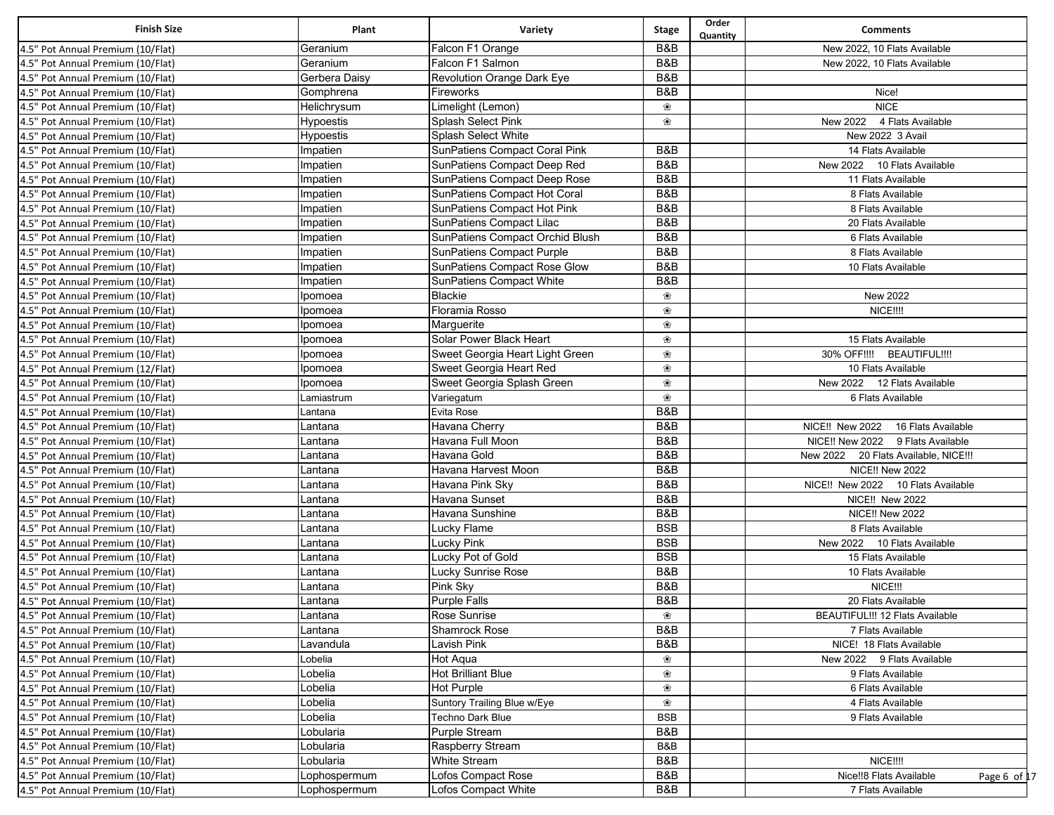| <b>Finish Size</b>                                                     | Plant              | Variety                                                | Stage           | Order<br>Quantity | <b>Comments</b>                         |
|------------------------------------------------------------------------|--------------------|--------------------------------------------------------|-----------------|-------------------|-----------------------------------------|
| 4.5" Pot Annual Premium (10/Flat)                                      | Geranium           | Falcon F1 Orange                                       | B&B             |                   | New 2022, 10 Flats Available            |
| 4.5" Pot Annual Premium (10/Flat)                                      | Geranium           | Falcon F1 Salmon                                       | B&B             |                   | New 2022, 10 Flats Available            |
| 4.5" Pot Annual Premium (10/Flat)                                      | Gerbera Daisy      | Revolution Orange Dark Eye                             | B&B             |                   |                                         |
| 4.5" Pot Annual Premium (10/Flat)                                      | Gomphrena          | Fireworks                                              | B&B             |                   | Nice!                                   |
| 4.5" Pot Annual Premium (10/Flat)                                      | Helichrysum        | Limelight (Lemon)                                      | ❀               |                   | <b>NICE</b>                             |
| 4.5" Pot Annual Premium (10/Flat)                                      | Hypoestis          | Splash Select Pink                                     | ❀               |                   | New 2022 4 Flats Available              |
| 4.5" Pot Annual Premium (10/Flat)                                      | Hypoestis          | <b>Splash Select White</b>                             |                 |                   | New 2022 3 Avail                        |
| 4.5" Pot Annual Premium (10/Flat)                                      | Impatien           | SunPatiens Compact Coral Pink                          | B&B             |                   | 14 Flats Available                      |
| 4.5" Pot Annual Premium (10/Flat)                                      | Impatien           | SunPatiens Compact Deep Red                            | B&B             |                   | New 2022 10 Flats Available             |
| 4.5" Pot Annual Premium (10/Flat)                                      | Impatien           | SunPatiens Compact Deep Rose                           | B&B             |                   | 11 Flats Available                      |
| 4.5" Pot Annual Premium (10/Flat)                                      | Impatien           | SunPatiens Compact Hot Coral                           | B&B             |                   | 8 Flats Available                       |
| 4.5" Pot Annual Premium (10/Flat)                                      | Impatien           | SunPatiens Compact Hot Pink                            | B&B             |                   | 8 Flats Available                       |
| 4.5" Pot Annual Premium (10/Flat)                                      | Impatien           | SunPatiens Compact Lilac                               | B&B             |                   | 20 Flats Available                      |
| 4.5" Pot Annual Premium (10/Flat)                                      | Impatien           | SunPatiens Compact Orchid Blush                        | B&B             |                   | 6 Flats Available                       |
| 4.5" Pot Annual Premium (10/Flat)                                      | Impatien           | SunPatiens Compact Purple                              | B&B             |                   | 8 Flats Available                       |
| 4.5" Pot Annual Premium (10/Flat)                                      | Impatien           | SunPatiens Compact Rose Glow                           | <b>B&amp;B</b>  |                   | 10 Flats Available                      |
| 4.5" Pot Annual Premium (10/Flat)                                      | Impatien           | SunPatiens Compact White                               | B&B             |                   |                                         |
| 4.5" Pot Annual Premium (10/Flat)                                      | Ipomoea            | <b>Blackie</b>                                         | ❀               |                   | New 2022                                |
| 4.5" Pot Annual Premium (10/Flat)                                      | Ipomoea            | Floramia Rosso                                         | ❀               |                   | NICE !!!!                               |
| 4.5" Pot Annual Premium (10/Flat)                                      | Ipomoea            | Marguerite                                             | ❀               |                   |                                         |
| 4.5" Pot Annual Premium (10/Flat)                                      | Ipomoea            | Solar Power Black Heart                                | ❀               |                   | 15 Flats Available                      |
| 4.5" Pot Annual Premium (10/Flat)                                      | Ipomoea            | Sweet Georgia Heart Light Green                        | ❀               |                   | 30% OFF!!!!<br><b>BEAUTIFUL!!!!</b>     |
| 4.5" Pot Annual Premium (12/Flat)                                      | Ipomoea            | Sweet Georgia Heart Red                                | ❀               |                   | 10 Flats Available                      |
| 4.5" Pot Annual Premium (10/Flat)                                      | Ipomoea            | Sweet Georgia Splash Green                             | ❀               |                   | New 2022 12 Flats Available             |
| 4.5" Pot Annual Premium (10/Flat)                                      | Lamiastrum         | Variegatum                                             | ❀               |                   | 6 Flats Available                       |
| 4.5" Pot Annual Premium (10/Flat)                                      | Lantana            | <b>Evita Rose</b>                                      | B&B             |                   |                                         |
| 4.5" Pot Annual Premium (10/Flat)                                      | Lantana            | Havana Cherry                                          | B&B             |                   | NICE!! New 2022 16 Flats Available      |
| 4.5" Pot Annual Premium (10/Flat)                                      | _antana            | Havana Full Moon                                       | B&B             |                   | NICE!! New 2022 9 Flats Available       |
| 4.5" Pot Annual Premium (10/Flat)                                      | Lantana            | Havana Gold                                            | B&B             |                   | New 2022 20 Flats Available, NICE !!!   |
| 4.5" Pot Annual Premium (10/Flat)                                      | Lantana            | Havana Harvest Moon                                    | B&B             |                   | <b>NICE!! New 2022</b>                  |
| 4.5" Pot Annual Premium (10/Flat)                                      | Lantana            | Havana Pink Sky                                        | B&B             |                   | NICE!! New 2022 10 Flats Available      |
| 4.5" Pot Annual Premium (10/Flat)                                      | Lantana            | Havana Sunset                                          | B&B             |                   | NICE!! New 2022                         |
| 4.5" Pot Annual Premium (10/Flat)                                      | _antana            | Havana Sunshine                                        | B&B             |                   | <b>NICE!! New 2022</b>                  |
| 4.5" Pot Annual Premium (10/Flat)                                      | Lantana            | Lucky Flame                                            | <b>BSB</b>      |                   | 8 Flats Available                       |
| 4.5" Pot Annual Premium (10/Flat)                                      | Lantana            | <b>Lucky Pink</b>                                      | <b>BSB</b>      |                   | New 2022 10 Flats Available             |
| 4.5" Pot Annual Premium (10/Flat)                                      | Lantana            | Lucky Pot of Gold                                      | <b>BSB</b>      |                   | 15 Flats Available                      |
| 4.5" Pot Annual Premium (10/Flat)                                      | Lantana            | <b>Lucky Sunrise Rose</b>                              | B&B             |                   | 10 Flats Available                      |
| 4.5" Pot Annual Premium (10/Flat)                                      | Lantana            | Pink Sky                                               | B&B             |                   | NICE!!!                                 |
| 4.5" Pot Annual Premium (10/Flat)                                      | Lantana            | <b>Purple Falls</b>                                    | B&B             |                   | 20 Flats Available                      |
| 4.5" Pot Annual Premium (10/Flat)                                      | Lantana            | Rose Sunrise                                           | ❀               |                   | BEAUTIFUL !!! 12 Flats Available        |
| 4.5" Pot Annual Premium (10/Flat)                                      | Lantana            | Shamrock Rose                                          | B&B             |                   | 7 Flats Available                       |
| 4.5" Pot Annual Premium (10/Flat)                                      | Lavandula          | <b>Lavish Pink</b>                                     | B&B             |                   | NICE! 18 Flats Available                |
| 4.5" Pot Annual Premium (10/Flat)                                      | Lobelia            | Hot Aqua                                               | ❀               |                   | New 2022 9 Flats Available              |
|                                                                        |                    |                                                        |                 |                   |                                         |
| 4.5" Pot Annual Premium (10/Flat)<br>4.5" Pot Annual Premium (10/Flat) | Lobelia<br>Lobelia | <b>Hot Brilliant Blue</b><br>Hot Purple                | ❀<br>❀          |                   | 9 Flats Available<br>6 Flats Available  |
|                                                                        |                    |                                                        |                 |                   |                                         |
| 4.5" Pot Annual Premium (10/Flat)                                      | Lobelia            | Suntory Trailing Blue w/Eye<br><b>Techno Dark Blue</b> | ❀<br><b>BSB</b> |                   | 4 Flats Available                       |
| 4.5" Pot Annual Premium (10/Flat)                                      | Lobelia            |                                                        |                 |                   | 9 Flats Available                       |
| 4.5" Pot Annual Premium (10/Flat)                                      | Lobularia          | Purple Stream                                          | B&B             |                   |                                         |
| 4.5" Pot Annual Premium (10/Flat)                                      | Lobularia          | Raspberry Stream                                       | B&B             |                   |                                         |
| 4.5" Pot Annual Premium (10/Flat)                                      | Lobularia          | <b>White Stream</b>                                    | B&B             |                   | <b>NICE!!!!</b>                         |
| 4.5" Pot Annual Premium (10/Flat)                                      | Lophospermum       | Lofos Compact Rose                                     | B&B             |                   | Nice!!8 Flats Available<br>Page 6 of 17 |
| 4.5" Pot Annual Premium (10/Flat)                                      | Lophospermum       | Lofos Compact White                                    | B&B             |                   | 7 Flats Available                       |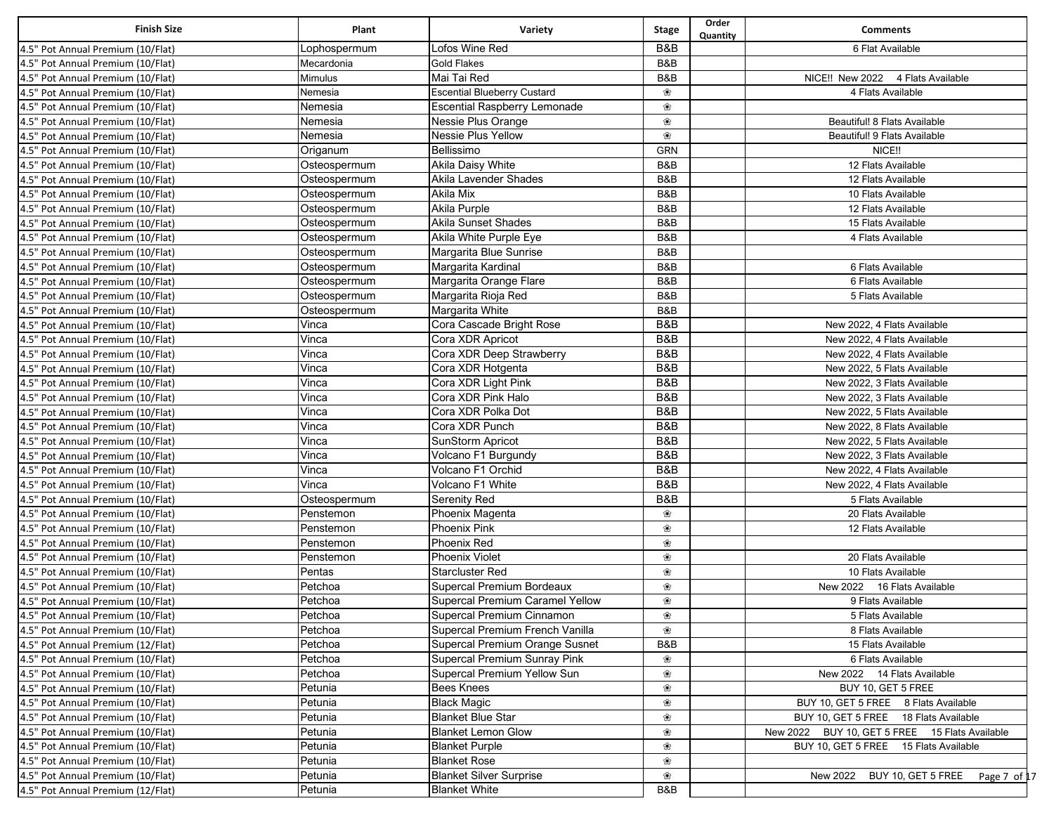| <b>Finish Size</b>                | Plant                     | Variety                                                      | <b>Stage</b> | Order<br>Quantity | <b>Comments</b>                                |
|-----------------------------------|---------------------------|--------------------------------------------------------------|--------------|-------------------|------------------------------------------------|
| 4.5" Pot Annual Premium (10/Flat) | Lophospermum              | Lofos Wine Red                                               | B&B          |                   | 6 Flat Available                               |
| 4.5" Pot Annual Premium (10/Flat) | Mecardonia                | <b>Gold Flakes</b>                                           | B&B          |                   |                                                |
| 4.5" Pot Annual Premium (10/Flat) | Mimulus                   | Mai Tai Red                                                  | B&B          |                   | NICE!! New 2022<br>4 Flats Available           |
| 4.5" Pot Annual Premium (10/Flat) | Nemesia                   | <b>Escential Blueberry Custard</b>                           | ❀            |                   | 4 Flats Available                              |
| 4.5" Pot Annual Premium (10/Flat) | Nemesia                   | <b>Escential Raspberry Lemonade</b>                          | ❀            |                   |                                                |
| 4.5" Pot Annual Premium (10/Flat) | Nemesia                   | Nessie Plus Orange                                           | ❀            |                   | Beautiful! 8 Flats Available                   |
| 4.5" Pot Annual Premium (10/Flat) | Nemesia                   | Nessie Plus Yellow                                           | ❀            |                   | Beautiful! 9 Flats Available                   |
| 4.5" Pot Annual Premium (10/Flat) | Origanum                  | Bellissimo                                                   | <b>GRN</b>   |                   | NICE!!                                         |
| 4.5" Pot Annual Premium (10/Flat) | Osteospermum              | Akila Daisy White                                            | B&B          |                   | 12 Flats Available                             |
| 4.5" Pot Annual Premium (10/Flat) | Osteospermum              | Akila Lavender Shades                                        | B&B          |                   | 12 Flats Available                             |
| 4.5" Pot Annual Premium (10/Flat) | Osteospermum              | Akila Mix                                                    | B&B          |                   | 10 Flats Available                             |
| 4.5" Pot Annual Premium (10/Flat) | Osteospermum              | Akila Purple                                                 | B&B          |                   | 12 Flats Available                             |
| 4.5" Pot Annual Premium (10/Flat) | Osteospermum              | <b>Akila Sunset Shades</b>                                   | B&B          |                   | 15 Flats Available                             |
| 4.5" Pot Annual Premium (10/Flat) | Osteospermum              | Akila White Purple Eye                                       | B&B          |                   | 4 Flats Available                              |
| 4.5" Pot Annual Premium (10/Flat) | Osteospermum              | Margarita Blue Sunrise                                       | B&B          |                   |                                                |
| 4.5" Pot Annual Premium (10/Flat) | Osteospermum              | Margarita Kardinal                                           | B&B          |                   | 6 Flats Available                              |
| 4.5" Pot Annual Premium (10/Flat) | Osteospermum              | Margarita Orange Flare                                       | B&B          |                   | 6 Flats Available                              |
| 4.5" Pot Annual Premium (10/Flat) | Osteospermum              | Margarita Rioja Red                                          | B&B          |                   | 5 Flats Available                              |
| 4.5" Pot Annual Premium (10/Flat) | Osteospermum              | Margarita White                                              | B&B          |                   |                                                |
| 4.5" Pot Annual Premium (10/Flat) | Vinca                     | Cora Cascade Bright Rose                                     | B&B          |                   | New 2022, 4 Flats Available                    |
| 4.5" Pot Annual Premium (10/Flat) | Vinca                     | Cora XDR Apricot                                             | B&B          |                   | New 2022, 4 Flats Available                    |
| 4.5" Pot Annual Premium (10/Flat) | Vinca                     | Cora XDR Deep Strawberry                                     | B&B          |                   | New 2022, 4 Flats Available                    |
| 4.5" Pot Annual Premium (10/Flat) | Vinca                     | Cora XDR Hotgenta                                            | B&B          |                   | New 2022, 5 Flats Available                    |
| 4.5" Pot Annual Premium (10/Flat) | Vinca                     | Cora XDR Light Pink                                          | B&B          |                   | New 2022, 3 Flats Available                    |
| 4.5" Pot Annual Premium (10/Flat) | Vinca                     | Cora XDR Pink Halo                                           | B&B          |                   | New 2022, 3 Flats Available                    |
| 4.5" Pot Annual Premium (10/Flat) | Vinca                     | Cora XDR Polka Dot                                           | B&B          |                   | New 2022, 5 Flats Available                    |
|                                   |                           | Cora XDR Punch                                               | B&B          |                   |                                                |
| 4.5" Pot Annual Premium (10/Flat) | Vinca                     | SunStorm Apricot                                             | B&B          |                   | New 2022, 8 Flats Available                    |
| 4.5" Pot Annual Premium (10/Flat) | Vinca<br>Vinca            |                                                              | B&B          |                   | New 2022, 5 Flats Available                    |
| 4.5" Pot Annual Premium (10/Flat) |                           | Volcano F1 Burgundy<br>Volcano F1 Orchid                     | B&B          |                   | New 2022, 3 Flats Available                    |
| 4.5" Pot Annual Premium (10/Flat) | Vinca<br>Vinca            | Volcano F1 White                                             | B&B          |                   | New 2022, 4 Flats Available                    |
| 4.5" Pot Annual Premium (10/Flat) |                           |                                                              | B&B          |                   | New 2022, 4 Flats Available                    |
| 4.5" Pot Annual Premium (10/Flat) | Osteospermum<br>Penstemon | Serenity Red                                                 | ❀            |                   | 5 Flats Available<br>20 Flats Available        |
| 4.5" Pot Annual Premium (10/Flat) | Penstemon                 | Phoenix Magenta<br><b>Phoenix Pink</b>                       | ❀            |                   | 12 Flats Available                             |
| 4.5" Pot Annual Premium (10/Flat) |                           | Phoenix Red                                                  | ❀            |                   |                                                |
| 4.5" Pot Annual Premium (10/Flat) | Penstemon<br>Penstemon    | Phoenix Violet                                               |              |                   | 20 Flats Available                             |
| 4.5" Pot Annual Premium (10/Flat) | Pentas                    | <b>Starcluster Red</b>                                       | ❀            |                   | 10 Flats Available                             |
| 4.5" Pot Annual Premium (10/Flat) | Petchoa                   | Supercal Premium Bordeaux                                    | ❀            |                   | New 2022 16 Flats Available                    |
| 4.5" Pot Annual Premium (10/Flat) |                           |                                                              | ❀            |                   |                                                |
| 4.5" Pot Annual Premium (10/Flat) | Petchoa<br>Petchoa        | Supercal Premium Caramel Yellow<br>Supercal Premium Cinnamon | ❀            |                   | 9 Flats Available<br>5 Flats Available         |
| 4.5" Pot Annual Premium (10/Flat) |                           |                                                              | ❀<br>❀       |                   |                                                |
| 4.5" Pot Annual Premium (10/Flat) | Petchoa                   | Supercal Premium French Vanilla                              |              |                   | 8 Flats Available                              |
| 4.5" Pot Annual Premium (12/Flat) | Petchoa                   | Supercal Premium Orange Susnet                               | B&B          |                   | 15 Flats Available                             |
| 4.5" Pot Annual Premium (10/Flat) | Petchoa                   | Supercal Premium Sunray Pink                                 | ❀            |                   | 6 Flats Available                              |
| 4.5" Pot Annual Premium (10/Flat) | Petchoa                   | Supercal Premium Yellow Sun                                  | ❀            |                   | New 2022 14 Flats Available                    |
| 4.5" Pot Annual Premium (10/Flat) | Petunia                   | Bees Knees                                                   | ❀            |                   | BUY 10, GET 5 FREE                             |
| 4.5" Pot Annual Premium (10/Flat) | Petunia                   | <b>Black Magic</b>                                           | ❀            |                   | BUY 10, GET 5 FREE 8 Flats Available           |
| 4.5" Pot Annual Premium (10/Flat) | Petunia                   | <b>Blanket Blue Star</b>                                     | ❀            |                   | BUY 10, GET 5 FREE 18 Flats Available          |
| 4.5" Pot Annual Premium (10/Flat) | Petunia                   | <b>Blanket Lemon Glow</b>                                    | ❀            |                   | New 2022 BUY 10, GET 5 FREE 15 Flats Available |
| 4.5" Pot Annual Premium (10/Flat) | Petunia                   | <b>Blanket Purple</b>                                        | ❀            |                   | BUY 10, GET 5 FREE 15 Flats Available          |
| 4.5" Pot Annual Premium (10/Flat) | Petunia                   | <b>Blanket Rose</b>                                          | ❀            |                   |                                                |
| 4.5" Pot Annual Premium (10/Flat) | Petunia                   | <b>Blanket Silver Surprise</b>                               | ❀            |                   | New 2022<br>BUY 10, GET 5 FREE<br>Page 7 of 17 |
| 4.5" Pot Annual Premium (12/Flat) | Petunia                   | <b>Blanket White</b>                                         | B&B          |                   |                                                |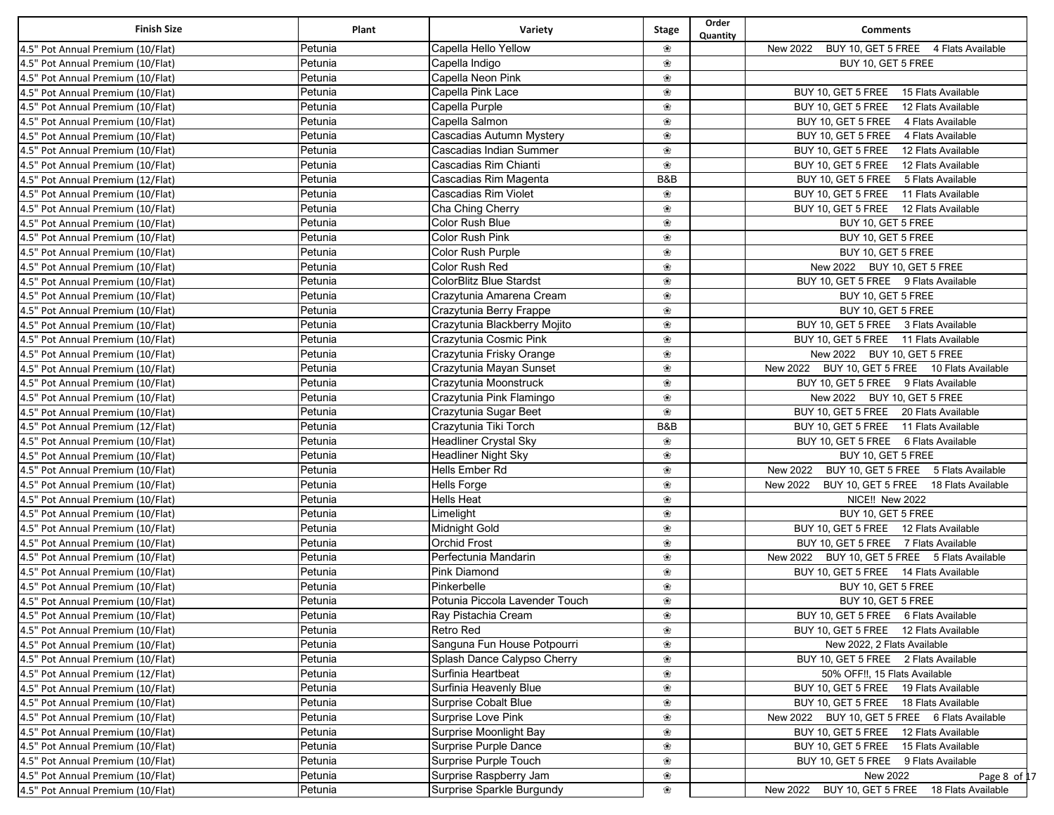| <b>Finish Size</b>                | Plant   | Variety                        | Stage | Order<br>Quantity | <b>Comments</b>                                   |
|-----------------------------------|---------|--------------------------------|-------|-------------------|---------------------------------------------------|
| 4.5" Pot Annual Premium (10/Flat) | Petunia | Capella Hello Yellow           | ❀     |                   | New 2022 BUY 10, GET 5 FREE 4 Flats Available     |
| 4.5" Pot Annual Premium (10/Flat) | Petunia | Capella Indigo                 | ❀     |                   | BUY 10, GET 5 FREE                                |
| 4.5" Pot Annual Premium (10/Flat) | Petunia | Capella Neon Pink              | ❀     |                   |                                                   |
| 4.5" Pot Annual Premium (10/Flat) | Petunia | Capella Pink Lace              | ❀     |                   | BUY 10, GET 5 FREE 15 Flats Available             |
| 4.5" Pot Annual Premium (10/Flat) | Petunia | Capella Purple                 | ❀     |                   | BUY 10, GET 5 FREE 12 Flats Available             |
| 4.5" Pot Annual Premium (10/Flat) | Petunia | Capella Salmon                 | ❀     |                   | BUY 10, GET 5 FREE 4 Flats Available              |
| 4.5" Pot Annual Premium (10/Flat) | Petunia | Cascadias Autumn Mystery       | ❀     |                   | BUY 10, GET 5 FREE 4 Flats Available              |
| 4.5" Pot Annual Premium (10/Flat) | Petunia | Cascadias Indian Summer        | ❀     |                   | BUY 10, GET 5 FREE 12 Flats Available             |
| 4.5" Pot Annual Premium (10/Flat) | Petunia | Cascadias Rim Chianti          | ❀     |                   | BUY 10, GET 5 FREE 12 Flats Available             |
| 4.5" Pot Annual Premium (12/Flat) | Petunia | Cascadias Rim Magenta          | B&B   |                   | BUY 10, GET 5 FREE 5 Flats Available              |
| 4.5" Pot Annual Premium (10/Flat) | Petunia | Cascadias Rim Violet           | ∰     |                   | BUY 10, GET 5 FREE 11 Flats Available             |
| 4.5" Pot Annual Premium (10/Flat) | Petunia | Cha Ching Cherry               | ∰     |                   | BUY 10, GET 5 FREE 12 Flats Available             |
| 4.5" Pot Annual Premium (10/Flat) | Petunia | Color Rush Blue                | ❀     |                   | BUY 10, GET 5 FREE                                |
| 4.5" Pot Annual Premium (10/Flat) | Petunia | Color Rush Pink                | ❀     |                   | BUY 10, GET 5 FREE                                |
| 4.5" Pot Annual Premium (10/Flat) | Petunia | Color Rush Purple              | ❀     |                   | BUY 10, GET 5 FREE                                |
| 4.5" Pot Annual Premium (10/Flat) | Petunia | Color Rush Red                 | ❀     |                   | New 2022 BUY 10, GET 5 FREE                       |
| 4.5" Pot Annual Premium (10/Flat) | Petunia | <b>ColorBlitz Blue Stardst</b> | ❀     |                   | BUY 10, GET 5 FREE 9 Flats Available              |
| 4.5" Pot Annual Premium (10/Flat) | Petunia | Crazytunia Amarena Cream       | ❀     |                   | BUY 10, GET 5 FREE                                |
| 4.5" Pot Annual Premium (10/Flat) | Petunia | Crazytunia Berry Frappe        | ❀     |                   | BUY 10, GET 5 FREE                                |
| 4.5" Pot Annual Premium (10/Flat) | Petunia | Crazytunia Blackberry Mojito   | ❀     |                   | BUY 10, GET 5 FREE 3 Flats Available              |
| 4.5" Pot Annual Premium (10/Flat) | Petunia | Crazytunia Cosmic Pink         | ❀     |                   | BUY 10, GET 5 FREE 11 Flats Available             |
| 4.5" Pot Annual Premium (10/Flat) | Petunia | Crazytunia Frisky Orange       | ❀     |                   | New 2022 BUY 10, GET 5 FREE                       |
| 4.5" Pot Annual Premium (10/Flat) | Petunia | Crazytunia Mayan Sunset        | ❀     |                   | New 2022 BUY 10, GET 5 FREE 10 Flats Available    |
| 4.5" Pot Annual Premium (10/Flat) | Petunia | Crazytunia Moonstruck          | ❀     |                   | BUY 10, GET 5 FREE 9 Flats Available              |
| 4.5" Pot Annual Premium (10/Flat) | Petunia | Crazytunia Pink Flamingo       | ❀     |                   | New 2022 BUY 10, GET 5 FREE                       |
| 4.5" Pot Annual Premium (10/Flat) | Petunia | Crazytunia Sugar Beet          | ❀     |                   | BUY 10, GET 5 FREE 20 Flats Available             |
| 4.5" Pot Annual Premium (12/Flat) | Petunia | Crazytunia Tiki Torch          | B&B   |                   | BUY 10, GET 5 FREE 11 Flats Available             |
| 4.5" Pot Annual Premium (10/Flat) | Petunia | Headliner Crystal Sky          | ❀     |                   | BUY 10, GET 5 FREE 6 Flats Available              |
| 4.5" Pot Annual Premium (10/Flat) | Petunia | <b>Headliner Night Sky</b>     | ❀     |                   | BUY 10, GET 5 FREE                                |
| 4.5" Pot Annual Premium (10/Flat) | Petunia | Hells Ember Rd                 | ❀     |                   | New 2022 BUY 10, GET 5 FREE 5 Flats Available     |
| 4.5" Pot Annual Premium (10/Flat) | Petunia | <b>Hells Forge</b>             | ❀     |                   | BUY 10, GET 5 FREE 18 Flats Available<br>New 2022 |
| 4.5" Pot Annual Premium (10/Flat) | Petunia | <b>Hells Heat</b>              | ❀     |                   | NICE!! New 2022                                   |
| 4.5" Pot Annual Premium (10/Flat) | Petunia | Limelight                      | ❀     |                   | BUY 10, GET 5 FREE                                |
| 4.5" Pot Annual Premium (10/Flat) | Petunia | Midnight Gold                  | ❀     |                   | BUY 10, GET 5 FREE 12 Flats Available             |
| 4.5" Pot Annual Premium (10/Flat) | Petunia | <b>Orchid Frost</b>            | ❀     |                   | BUY 10, GET 5 FREE 7 Flats Available              |
| 4.5" Pot Annual Premium (10/Flat) | Petunia | Perfectunia Mandarin           | ❀     |                   | BUY 10, GET 5 FREE 5 Flats Available<br>New 2022  |
| 4.5" Pot Annual Premium (10/Flat) | Petunia | Pink Diamond                   | ❀     |                   | BUY 10, GET 5 FREE 14 Flats Available             |
| 4.5" Pot Annual Premium (10/Flat) | Petunia | Pinkerbelle                    | ❀     |                   | BUY 10, GET 5 FREE                                |
| 4.5" Pot Annual Premium (10/Flat) | Petunia | Potunia Piccola Lavender Touch | ❀     |                   | BUY 10, GET 5 FREE                                |
| 4.5" Pot Annual Premium (10/Flat) | Petunia | Ray Pistachia Cream            | ❀     |                   | BUY 10, GET 5 FREE 6 Flats Available              |
| 4.5" Pot Annual Premium (10/Flat) | Petunia | Retro Red                      | ❀     |                   | BUY 10, GET 5 FREE 12 Flats Available             |
| 4.5" Pot Annual Premium (10/Flat) | Petunia | Sanguna Fun House Potpourri    | ❀     |                   | New 2022, 2 Flats Available                       |
| 4.5" Pot Annual Premium (10/Flat) | Petunia | Splash Dance Calypso Cherry    | ❀     |                   | BUY 10, GET 5 FREE 2 Flats Available              |
| 4.5" Pot Annual Premium (12/Flat) | Petunia | Surfinia Heartbeat             | ❀     |                   | 50% OFF!!, 15 Flats Available                     |
| 4.5" Pot Annual Premium (10/Flat) | Petunia | Surfinia Heavenly Blue         | ❀     |                   | BUY 10, GET 5 FREE 19 Flats Available             |
| 4.5" Pot Annual Premium (10/Flat) | Petunia | Surprise Cobalt Blue           | ❀     |                   | BUY 10, GET 5 FREE 18 Flats Available             |
| 4.5" Pot Annual Premium (10/Flat) | Petunia | Surprise Love Pink             | ❀     |                   | BUY 10, GET 5 FREE 6 Flats Available<br>New 2022  |
| 4.5" Pot Annual Premium (10/Flat) | Petunia | Surprise Moonlight Bay         | ❀     |                   | BUY 10, GET 5 FREE 12 Flats Available             |
| 4.5" Pot Annual Premium (10/Flat) | Petunia | Surprise Purple Dance          | ❀     |                   | BUY 10, GET 5 FREE 15 Flats Available             |
| 4.5" Pot Annual Premium (10/Flat) | Petunia | Surprise Purple Touch          | ❀     |                   | BUY 10, GET 5 FREE 9 Flats Available              |
| 4.5" Pot Annual Premium (10/Flat) | Petunia | Surprise Raspberry Jam         | ❀     |                   | New 2022<br>Page 8 of 17                          |
| 4.5" Pot Annual Premium (10/Flat) | Petunia | Surprise Sparkle Burgundy      | ❀     |                   | BUY 10, GET 5 FREE 18 Flats Available<br>New 2022 |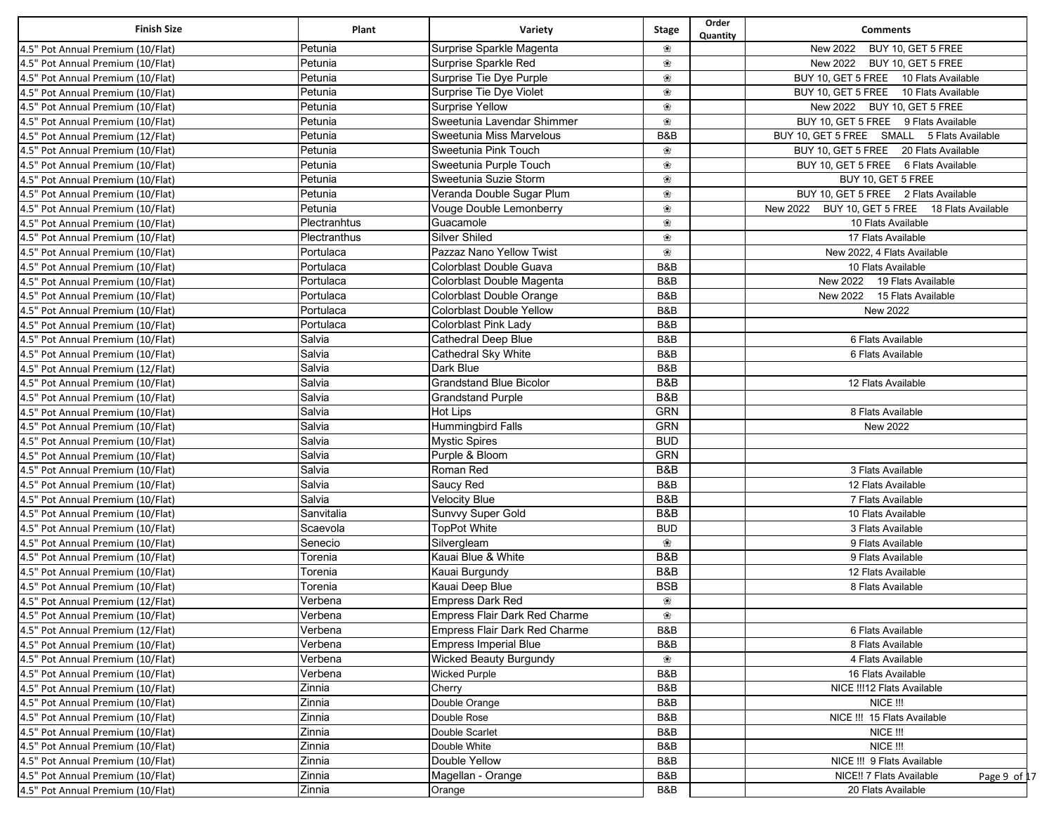| <b>Finish Size</b>                                                     | Plant              | Variety                           | <b>Stage</b> | Order<br>Quantity | <b>Comments</b>                                |
|------------------------------------------------------------------------|--------------------|-----------------------------------|--------------|-------------------|------------------------------------------------|
| 4.5" Pot Annual Premium (10/Flat)                                      | Petunia            | Surprise Sparkle Magenta          | ❀            |                   | New 2022<br>BUY 10, GET 5 FREE                 |
| 4.5" Pot Annual Premium (10/Flat)                                      | Petunia            | Surprise Sparkle Red              | ❀            |                   | New 2022<br>BUY 10, GET 5 FREE                 |
| 4.5" Pot Annual Premium (10/Flat)                                      | Petunia            | Surprise Tie Dye Purple           | ❀            |                   | BUY 10, GET 5 FREE 10 Flats Available          |
| 4.5" Pot Annual Premium (10/Flat)                                      | Petunia            | Surprise Tie Dye Violet           | ❀            |                   | BUY 10, GET 5 FREE 10 Flats Available          |
| 4.5" Pot Annual Premium (10/Flat)                                      | Petunia            | Surprise Yellow                   | ❀            |                   | New 2022<br>BUY 10, GET 5 FREE                 |
| 4.5" Pot Annual Premium (10/Flat)                                      | Petunia            | Sweetunia Lavendar Shimmer        | ❀            |                   | BUY 10, GET 5 FREE 9 Flats Available           |
| 4.5" Pot Annual Premium (12/Flat)                                      | Petunia            | Sweetunia Miss Marvelous          | B&B          |                   | BUY 10, GET 5 FREE SMALL 5 Flats Available     |
| 4.5" Pot Annual Premium (10/Flat)                                      | Petunia            | Sweetunia Pink Touch              | ❀            |                   | BUY 10, GET 5 FREE 20 Flats Available          |
| 4.5" Pot Annual Premium (10/Flat)                                      | Petunia            | Sweetunia Purple Touch            | ❀            |                   | BUY 10, GET 5 FREE 6 Flats Available           |
| 4.5" Pot Annual Premium (10/Flat)                                      | Petunia            | Sweetunia Suzie Storm             | ❀            |                   | BUY 10, GET 5 FREE                             |
| 4.5" Pot Annual Premium (10/Flat)                                      | Petunia            | Veranda Double Sugar Plum         | ❀            |                   | BUY 10, GET 5 FREE 2 Flats Available           |
| 4.5" Pot Annual Premium (10/Flat)                                      | Petunia            | Vouge Double Lemonberry           | ❀            |                   | New 2022 BUY 10, GET 5 FREE 18 Flats Available |
| 4.5" Pot Annual Premium (10/Flat)                                      | Plectranhtus       | Guacamole                         | ❀            |                   | 10 Flats Available                             |
| 4.5" Pot Annual Premium (10/Flat)                                      | Plectranthus       | Silver Shiled                     | ❀            |                   | 17 Flats Available                             |
| 4.5" Pot Annual Premium (10/Flat)                                      | Portulaca          | Pazzaz Nano Yellow Twist          | ❀            |                   | New 2022, 4 Flats Available                    |
| 4.5" Pot Annual Premium (10/Flat)                                      | Portulaca          | Colorblast Double Guava           | B&B          |                   | 10 Flats Available                             |
| 4.5" Pot Annual Premium (10/Flat)                                      | Portulaca          | Colorblast Double Magenta         | B&B          |                   | New 2022 19 Flats Available                    |
| 4.5" Pot Annual Premium (10/Flat)                                      | Portulaca          | Colorblast Double Orange          | B&B          |                   | New 2022 15 Flats Available                    |
| 4.5" Pot Annual Premium (10/Flat)                                      | Portulaca          | Colorblast Double Yellow          | B&B          |                   | New 2022                                       |
| 4.5" Pot Annual Premium (10/Flat)                                      | Portulaca          | Colorblast Pink Lady              | B&B          |                   |                                                |
| 4.5" Pot Annual Premium (10/Flat)                                      | Salvia             | Cathedral Deep Blue               | B&B          |                   | 6 Flats Available                              |
| 4.5" Pot Annual Premium (10/Flat)                                      | Salvia             | Cathedral Sky White               | B&B          |                   | 6 Flats Available                              |
| 4.5" Pot Annual Premium (12/Flat)                                      | Salvia             | Dark Blue                         | B&B          |                   |                                                |
| 4.5" Pot Annual Premium (10/Flat)                                      | Salvia             | <b>Grandstand Blue Bicolor</b>    | B&B          |                   | 12 Flats Available                             |
| 4.5" Pot Annual Premium (10/Flat)                                      | Salvia             | <b>Grandstand Purple</b>          | B&B          |                   |                                                |
| 4.5" Pot Annual Premium (10/Flat)                                      | Salvia             | <b>Hot Lips</b>                   | <b>GRN</b>   |                   | 8 Flats Available                              |
| 4.5" Pot Annual Premium (10/Flat)                                      | Salvia             | Hummingbird Falls                 | GRN          |                   | New 2022                                       |
| 4.5" Pot Annual Premium (10/Flat)                                      | Salvia             | <b>Mystic Spires</b>              | <b>BUD</b>   |                   |                                                |
| 4.5" Pot Annual Premium (10/Flat)                                      | Salvia             | Purple & Bloom                    | <b>GRN</b>   |                   |                                                |
| 4.5" Pot Annual Premium (10/Flat)                                      | Salvia             | Roman Red                         | B&B          |                   | 3 Flats Available                              |
| 4.5" Pot Annual Premium (10/Flat)                                      | Salvia             | Saucy Red                         | B&B          |                   | 12 Flats Available                             |
| 4.5" Pot Annual Premium (10/Flat)                                      | Salvia             | <b>Velocity Blue</b>              | B&B          |                   | 7 Flats Available                              |
| 4.5" Pot Annual Premium (10/Flat)                                      | Sanvitalia         | Sunvvy Super Gold                 | B&B          |                   | 10 Flats Available                             |
| 4.5" Pot Annual Premium (10/Flat)                                      | Scaevola           | <b>TopPot White</b>               | <b>BUD</b>   |                   | 3 Flats Available                              |
| 4.5" Pot Annual Premium (10/Flat)                                      | Senecio            | Silvergleam                       | ❀            |                   | 9 Flats Available                              |
| 4.5" Pot Annual Premium (10/Flat)                                      | Torenia            | Kauai Blue & White                | B&B          |                   | 9 Flats Available                              |
| 4.5" Pot Annual Premium (10/Flat)                                      |                    |                                   | B&B          |                   |                                                |
|                                                                        | Torenia            | Kauai Burgundy<br>Kauai Deep Blue | <b>BSB</b>   |                   | 12 Flats Available<br>8 Flats Available        |
| 4.5" Pot Annual Premium (10/Flat)<br>4.5" Pot Annual Premium (12/Flat) | Torenia            |                                   | ❀            |                   |                                                |
|                                                                        | Verbena<br>Verbena | Empress Dark Red                  |              |                   |                                                |
| 4.5" Pot Annual Premium (10/Flat)                                      |                    | Empress Flair Dark Red Charme     | ❀            |                   |                                                |
| 4.5" Pot Annual Premium (12/Flat)                                      | Verbena            | Empress Flair Dark Red Charme     | B&B          |                   | 6 Flats Available                              |
| 4.5" Pot Annual Premium (10/Flat)                                      | Verbena            | <b>Empress Imperial Blue</b>      | B&B          |                   | 8 Flats Available                              |
| 4.5" Pot Annual Premium (10/Flat)                                      | Verbena            | <b>Wicked Beauty Burgundy</b>     | ❀            |                   | 4 Flats Available                              |
| 4.5" Pot Annual Premium (10/Flat)                                      | Verbena            | <b>Wicked Purple</b>              | B&B          |                   | 16 Flats Available                             |
| 4.5" Pot Annual Premium (10/Flat)                                      | Zinnia             | Cherry                            | B&B          |                   | NICE !!! 12 Flats Available                    |
| 4.5" Pot Annual Premium (10/Flat)                                      | Zinnia             | Double Orange                     | B&B          |                   | NICE !!!                                       |
| 4.5" Pot Annual Premium (10/Flat)                                      | Zinnia             | Double Rose                       | B&B          |                   | NICE !!! 15 Flats Available                    |
| 4.5" Pot Annual Premium (10/Flat)                                      | Zinnia             | Double Scarlet                    | B&B          |                   | <b>NICE !!!</b>                                |
| 4.5" Pot Annual Premium (10/Flat)                                      | Zinnia             | Double White                      | B&B          |                   | NICE !!!                                       |
| 4.5" Pot Annual Premium (10/Flat)                                      | Zinnia             | Double Yellow                     | B&B          |                   | NICE !!! 9 Flats Available                     |
| 4.5" Pot Annual Premium (10/Flat)                                      | Zinnia             | Magellan - Orange                 | B&B          |                   | NICE!! 7 Flats Available<br>Page 9 of 17       |
| 4.5" Pot Annual Premium (10/Flat)                                      | Zinnia             | Orange                            | B&B          |                   | 20 Flats Available                             |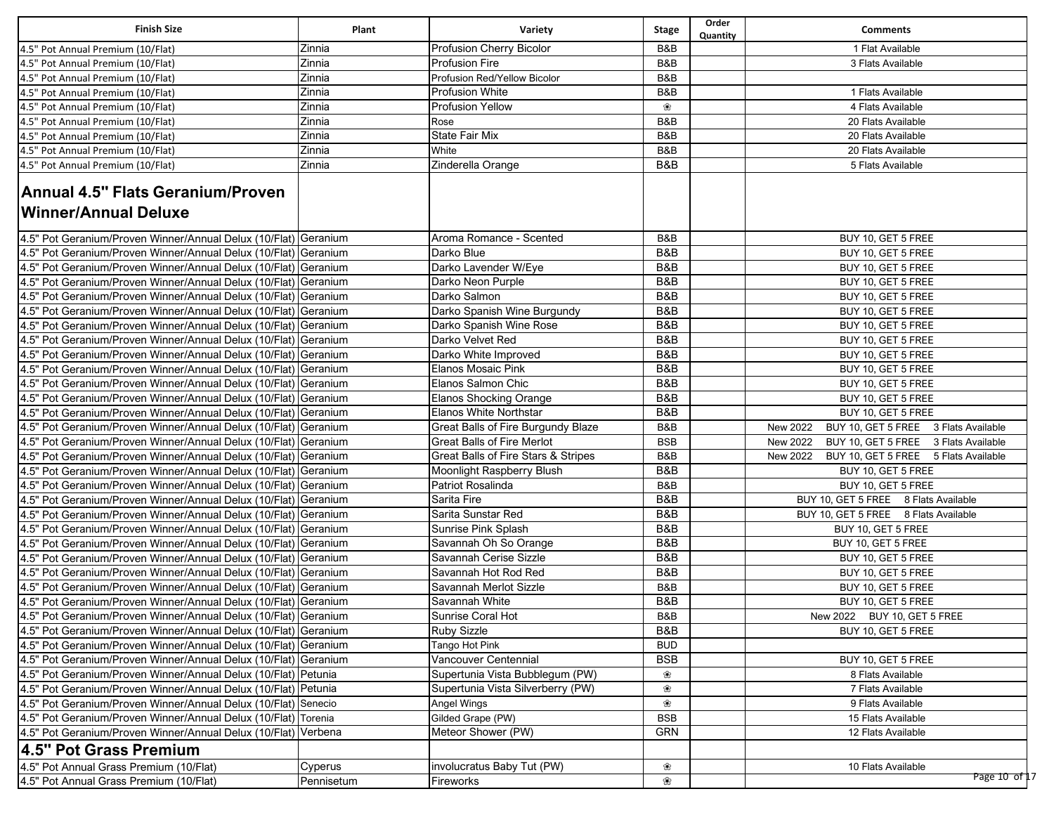| <b>Finish Size</b>                                               | Plant      | Variety                             | <b>Stage</b> | Order<br>Quantity | <b>Comments</b>                                  |
|------------------------------------------------------------------|------------|-------------------------------------|--------------|-------------------|--------------------------------------------------|
| 4.5" Pot Annual Premium (10/Flat)                                | Zinnia     | Profusion Cherry Bicolor            | B&B          |                   | 1 Flat Available                                 |
| 4.5" Pot Annual Premium (10/Flat)                                | Zinnia     | <b>Profusion Fire</b>               | B&B          |                   | 3 Flats Available                                |
| 4.5" Pot Annual Premium (10/Flat)                                | Zinnia     | Profusion Red/Yellow Bicolor        | B&B          |                   |                                                  |
| 4.5" Pot Annual Premium (10/Flat)                                | Zinnia     | <b>Profusion White</b>              | B&B          |                   | 1 Flats Available                                |
| 4.5" Pot Annual Premium (10/Flat)                                | Zinnia     | <b>Profusion Yellow</b>             | ❀            |                   | 4 Flats Available                                |
| 4.5" Pot Annual Premium (10/Flat)                                | Zinnia     | Rose                                | B&B          |                   | 20 Flats Available                               |
| 4.5" Pot Annual Premium (10/Flat)                                | Zinnia     | State Fair Mix                      | B&B          |                   | 20 Flats Available                               |
| 4.5" Pot Annual Premium (10/Flat)                                | Zinnia     | White                               | B&B          |                   | 20 Flats Available                               |
| 4.5" Pot Annual Premium (10/Flat)                                | Zinnia     | Zinderella Orange                   | B&B          |                   | 5 Flats Available                                |
| <b>Annual 4.5" Flats Geranium/Proven</b><br>Winner/Annual Deluxe |            |                                     |              |                   |                                                  |
| 4.5" Pot Geranium/Proven Winner/Annual Delux (10/Flat) Geranium  |            | Aroma Romance - Scented             | B&B          |                   | BUY 10, GET 5 FREE                               |
| 4.5" Pot Geranium/Proven Winner/Annual Delux (10/Flat) Geranium  |            | Darko Blue                          | B&B          |                   | BUY 10, GET 5 FREE                               |
| 4.5" Pot Geranium/Proven Winner/Annual Delux (10/Flat) Geranium  |            | Darko Lavender W/Eye                | B&B          |                   | BUY 10, GET 5 FREE                               |
| 4.5" Pot Geranium/Proven Winner/Annual Delux (10/Flat) Geranium  |            | Darko Neon Purple                   | B&B          |                   | BUY 10, GET 5 FREE                               |
| 4.5" Pot Geranium/Proven Winner/Annual Delux (10/Flat) Geranium  |            | Darko Salmon                        | B&B          |                   | BUY 10, GET 5 FREE                               |
| 4.5" Pot Geranium/Proven Winner/Annual Delux (10/Flat) Geranium  |            | Darko Spanish Wine Burgundy         | B&B          |                   | BUY 10, GET 5 FREE                               |
| 4.5" Pot Geranium/Proven Winner/Annual Delux (10/Flat) Geranium  |            | Darko Spanish Wine Rose             | B&B          |                   | BUY 10, GET 5 FREE                               |
| 4.5" Pot Geranium/Proven Winner/Annual Delux (10/Flat)           | Geranium   | Darko Velvet Red                    | B&B          |                   | BUY 10, GET 5 FREE                               |
| 4.5" Pot Geranium/Proven Winner/Annual Delux (10/Flat) Geranium  |            | Darko White Improved                | B&B          |                   | BUY 10, GET 5 FREE                               |
| 4.5" Pot Geranium/Proven Winner/Annual Delux (10/Flat) Geranium  |            | Elanos Mosaic Pink                  | B&B          |                   | BUY 10, GET 5 FREE                               |
| 4.5" Pot Geranium/Proven Winner/Annual Delux (10/Flat) Geranium  |            | Elanos Salmon Chic                  | B&B          |                   | BUY 10, GET 5 FREE                               |
| 4.5" Pot Geranium/Proven Winner/Annual Delux (10/Flat) Geranium  |            | <b>Elanos Shocking Orange</b>       | B&B          |                   | BUY 10, GET 5 FREE                               |
| 4.5" Pot Geranium/Proven Winner/Annual Delux (10/Flat) Geranium  |            | Elanos White Northstar              | B&B          |                   | BUY 10, GET 5 FREE                               |
| 4.5" Pot Geranium/Proven Winner/Annual Delux (10/Flat)           | Geranium   | Great Balls of Fire Burgundy Blaze  | B&B          |                   | BUY 10, GET 5 FREE 3 Flats Available<br>New 2022 |
| 4.5" Pot Geranium/Proven Winner/Annual Delux (10/Flat)           | Geranium   | <b>Great Balls of Fire Merlot</b>   | <b>BSB</b>   |                   | BUY 10, GET 5 FREE 3 Flats Available<br>New 2022 |
| 4.5" Pot Geranium/Proven Winner/Annual Delux (10/Flat)           | Geranium   | Great Balls of Fire Stars & Stripes | B&B          |                   | BUY 10, GET 5 FREE 5 Flats Available<br>New 2022 |
| 4.5" Pot Geranium/Proven Winner/Annual Delux (10/Flat) Geranium  |            | Moonlight Raspberry Blush           | B&B          |                   | BUY 10, GET 5 FREE                               |
| 4.5" Pot Geranium/Proven Winner/Annual Delux (10/Flat) Geranium  |            | Patriot Rosalinda                   | B&B          |                   | BUY 10, GET 5 FREE                               |
| 4.5" Pot Geranium/Proven Winner/Annual Delux (10/Flat) Geranium  |            | Sarita Fire                         | B&B          |                   | BUY 10, GET 5 FREE 8 Flats Available             |
| 4.5" Pot Geranium/Proven Winner/Annual Delux (10/Flat) Geranium  |            | Sarita Sunstar Red                  | B&B          |                   | BUY 10, GET 5 FREE 8 Flats Available             |
| 4.5" Pot Geranium/Proven Winner/Annual Delux (10/Flat) Geranium  |            | Sunrise Pink Splash                 | B&B          |                   | BUY 10, GET 5 FREE                               |
| 4.5" Pot Geranium/Proven Winner/Annual Delux (10/Flat) Geranium  |            | Savannah Oh So Orange               | B&B          |                   | BUY 10, GET 5 FREE                               |
| 4.5" Pot Geranium/Proven Winner/Annual Delux (10/Flat) Geranium  |            | Savannah Cerise Sizzle              | B&B          |                   | BUY 10, GET 5 FREE                               |
| 4.5" Pot Geranium/Proven Winner/Annual Delux (10/Flat) Geranium  |            | Savannah Hot Rod Red                | B&B          |                   | BUY 10, GET 5 FREE                               |
| 4.5" Pot Geranium/Proven Winner/Annual Delux (10/Flat) Geranium  |            | Savannah Merlot Sizzle              | B&B          |                   | BUY 10, GET 5 FREE                               |
| 4.5" Pot Geranium/Proven Winner/Annual Delux (10/Flat) Geranium  |            | Savannah White                      | B&B          |                   | BUY 10, GET 5 FREE                               |
| 4.5" Pot Geranium/Proven Winner/Annual Delux (10/Flat) Geranium  |            | Sunrise Coral Hot                   | B&B          |                   | New 2022 BUY 10, GET 5 FREE                      |
| 4.5" Pot Geranium/Proven Winner/Annual Delux (10/Flat) Geranium  |            | <b>Ruby Sizzle</b>                  | B&B          |                   | BUY 10, GET 5 FREE                               |
| 4.5" Pot Geranium/Proven Winner/Annual Delux (10/Flat) Geranium  |            | Tango Hot Pink                      | <b>BUD</b>   |                   |                                                  |
| 4.5" Pot Geranium/Proven Winner/Annual Delux (10/Flat) Geranium  |            | Vancouver Centennial                | <b>BSB</b>   |                   | BUY 10, GET 5 FREE                               |
| 4.5" Pot Geranium/Proven Winner/Annual Delux (10/Flat) Petunia   |            | Supertunia Vista Bubblegum (PW)     | ❀            |                   | 8 Flats Available                                |
| 4.5" Pot Geranium/Proven Winner/Annual Delux (10/Flat) Petunia   |            | Supertunia Vista Silverberry (PW)   | ❀            |                   | 7 Flats Available                                |
| 4.5" Pot Geranium/Proven Winner/Annual Delux (10/Flat) Senecio   |            | Angel Wings                         | ❀            |                   | 9 Flats Available                                |
| 4.5" Pot Geranium/Proven Winner/Annual Delux (10/Flat) Torenia   |            | Gilded Grape (PW)                   | <b>BSB</b>   |                   | 15 Flats Available                               |
| 4.5" Pot Geranium/Proven Winner/Annual Delux (10/Flat) Verbena   |            | Meteor Shower (PW)                  | GRN          |                   | 12 Flats Available                               |
| 4.5" Pot Grass Premium                                           |            |                                     |              |                   |                                                  |
| 4.5" Pot Annual Grass Premium (10/Flat)                          | Cyperus    | involucratus Baby Tut (PW)          | ❀            |                   | 10 Flats Available                               |
| 4.5" Pot Annual Grass Premium (10/Flat)                          | Pennisetum | Fireworks                           | ❀            |                   | Page 10 of 17                                    |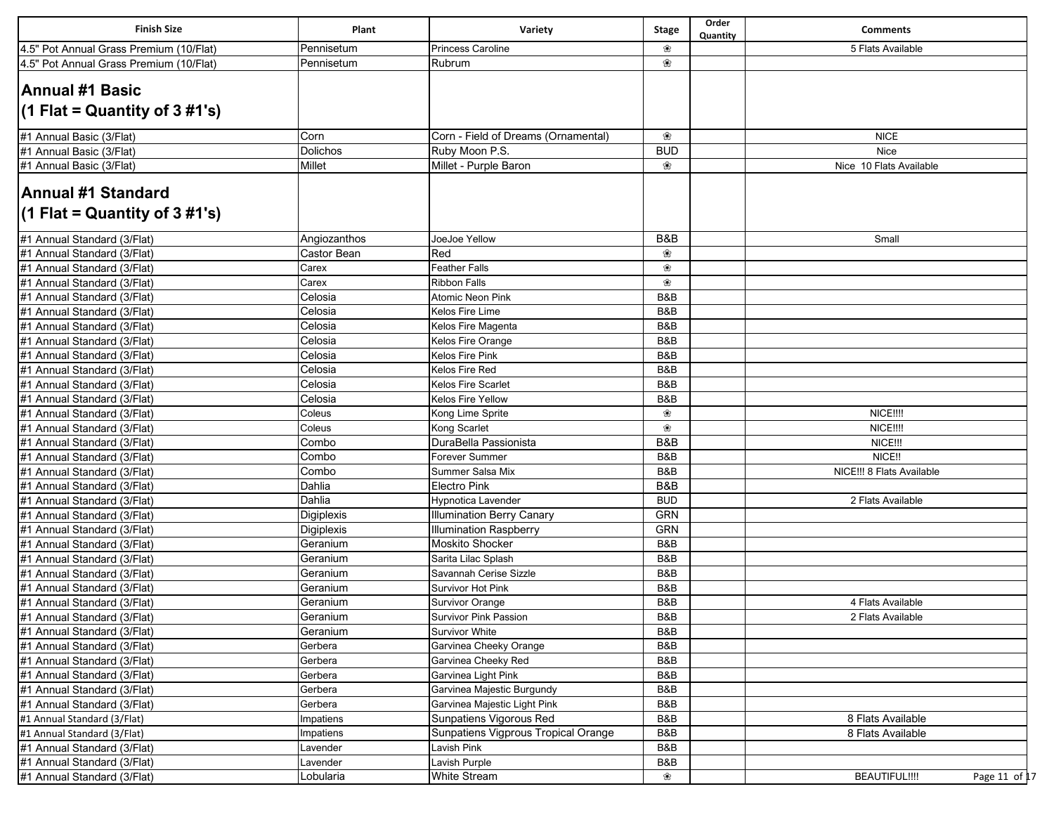| <b>Finish Size</b>                                        | Plant        | Variety                             | <b>Stage</b> | Order<br>Quantity | <b>Comments</b>                       |
|-----------------------------------------------------------|--------------|-------------------------------------|--------------|-------------------|---------------------------------------|
| 4.5" Pot Annual Grass Premium (10/Flat)                   | Pennisetum   | <b>Princess Caroline</b>            | ❀            |                   | 5 Flats Available                     |
| 4.5" Pot Annual Grass Premium (10/Flat)                   | Pennisetum   | Rubrum                              | ❀            |                   |                                       |
| <b>Annual #1 Basic</b><br>$(1$ Flat = Quantity of 3 #1's) |              |                                     |              |                   |                                       |
| #1 Annual Basic (3/Flat)                                  | Corn         | Corn - Field of Dreams (Ornamental) | ❀            |                   | <b>NICE</b>                           |
| #1 Annual Basic (3/Flat)                                  | Dolichos     | Ruby Moon P.S.                      | <b>BUD</b>   |                   | <b>Nice</b>                           |
| #1 Annual Basic (3/Flat)                                  | Millet       | Millet - Purple Baron               | ❀            |                   | Nice 10 Flats Available               |
| Annual #1 Standard<br>$(1$ Flat = Quantity of 3 #1's)     |              |                                     |              |                   |                                       |
| #1 Annual Standard (3/Flat)                               | Angiozanthos | JoeJoe Yellow                       | B&B          |                   | Small                                 |
| #1 Annual Standard (3/Flat)                               | Castor Bean  | Red                                 | ❀            |                   |                                       |
| #1 Annual Standard (3/Flat)                               | Carex        | <b>Feather Falls</b>                | ❀            |                   |                                       |
| #1 Annual Standard (3/Flat)                               | Carex        | <b>Ribbon Falls</b>                 | ❀            |                   |                                       |
| #1 Annual Standard (3/Flat)                               | Celosia      | <b>Atomic Neon Pink</b>             | B&B          |                   |                                       |
| #1 Annual Standard (3/Flat)                               | Celosia      | Kelos Fire Lime                     | B&B          |                   |                                       |
| #1 Annual Standard (3/Flat)                               | Celosia      | Kelos Fire Magenta                  | B&B          |                   |                                       |
| #1 Annual Standard (3/Flat)                               | Celosia      | Kelos Fire Orange                   | B&B          |                   |                                       |
| #1 Annual Standard (3/Flat)                               | Celosia      | Kelos Fire Pink                     | B&B          |                   |                                       |
| #1 Annual Standard (3/Flat)                               | Celosia      | Kelos Fire Red                      | B&B          |                   |                                       |
| #1 Annual Standard (3/Flat)                               | Celosia      | Kelos Fire Scarlet                  | B&B          |                   |                                       |
| #1 Annual Standard (3/Flat)                               | Celosia      | Kelos Fire Yellow                   | B&B          |                   |                                       |
| #1 Annual Standard (3/Flat)                               | Coleus       | Kong Lime Sprite                    | ❀            |                   | <b>NICE!!!!</b>                       |
| #1 Annual Standard (3/Flat)                               | Coleus       | Kong Scarlet                        | ❀            |                   | <b>NICE!!!!</b>                       |
| #1 Annual Standard (3/Flat)                               | Combo        | DuraBella Passionista               | B&B          |                   | NICE!!!                               |
| #1 Annual Standard (3/Flat)                               | Combo        | Forever Summer                      | B&B          |                   | NICE!!                                |
| #1 Annual Standard (3/Flat)                               | Combo        | Summer Salsa Mix                    | B&B          |                   | NICE !!! 8 Flats Available            |
| #1 Annual Standard (3/Flat)                               | Dahlia       | <b>Electro Pink</b>                 | B&B          |                   |                                       |
| #1 Annual Standard (3/Flat)                               | Dahlia       | Hypnotica Lavender                  | <b>BUD</b>   |                   | 2 Flats Available                     |
| #1 Annual Standard (3/Flat)                               | Digiplexis   | <b>Illumination Berry Canary</b>    | <b>GRN</b>   |                   |                                       |
| #1 Annual Standard (3/Flat)                               | Digiplexis   | <b>Illumination Raspberry</b>       | <b>GRN</b>   |                   |                                       |
| #1 Annual Standard (3/Flat)                               | Geranium     | <b>Moskito Shocker</b>              | B&B          |                   |                                       |
| #1 Annual Standard (3/Flat)                               | Geranium     | Sarita Lilac Splash                 | B&B          |                   |                                       |
| #1 Annual Standard (3/Flat)                               | Geranium     | Savannah Cerise Sizzle              | B&B          |                   |                                       |
| #1 Annual Standard (3/Flat)                               | Geranium     | Survivor Hot Pink                   | B&B          |                   |                                       |
| #1 Annual Standard (3/Flat)                               | Geranium     | <b>Survivor Orange</b>              | B&B          |                   | 4 Flats Available                     |
| #1 Annual Standard (3/Flat)                               | Geranium     | Survivor Pink Passion               | B&B          |                   | 2 Flats Available                     |
| #1 Annual Standard (3/Flat)                               | Geranium     | Survivor White                      | B&B          |                   |                                       |
| #1 Annual Standard (3/Flat)                               | Gerbera      | Garvinea Cheeky Orange              | B&B          |                   |                                       |
| #1 Annual Standard (3/Flat)                               | Gerbera      | Garvinea Cheeky Red                 | B&B          |                   |                                       |
| #1 Annual Standard (3/Flat)                               | Gerbera      | Garvinea Light Pink                 | B&B          |                   |                                       |
| #1 Annual Standard (3/Flat)                               | Gerbera      | Garvinea Majestic Burgundy          | B&B          |                   |                                       |
| #1 Annual Standard (3/Flat)                               | Gerbera      | Garvinea Majestic Light Pink        | B&B          |                   |                                       |
| #1 Annual Standard (3/Flat)                               | Impatiens    | Sunpatiens Vigorous Red             | B&B          |                   | 8 Flats Available                     |
| #1 Annual Standard (3/Flat)                               | Impatiens    | Sunpatiens Vigprous Tropical Orange | B&B          |                   | 8 Flats Available                     |
| #1 Annual Standard (3/Flat)                               | Lavender     | Lavish Pink                         | B&B          |                   |                                       |
| #1 Annual Standard (3/Flat)                               | Lavender     | Lavish Purple                       | B&B          |                   |                                       |
| #1 Annual Standard (3/Flat)                               | Lobularia    | White Stream                        | ❀            |                   | <b>BEAUTIFUL!!!!</b><br>Page 11 of 17 |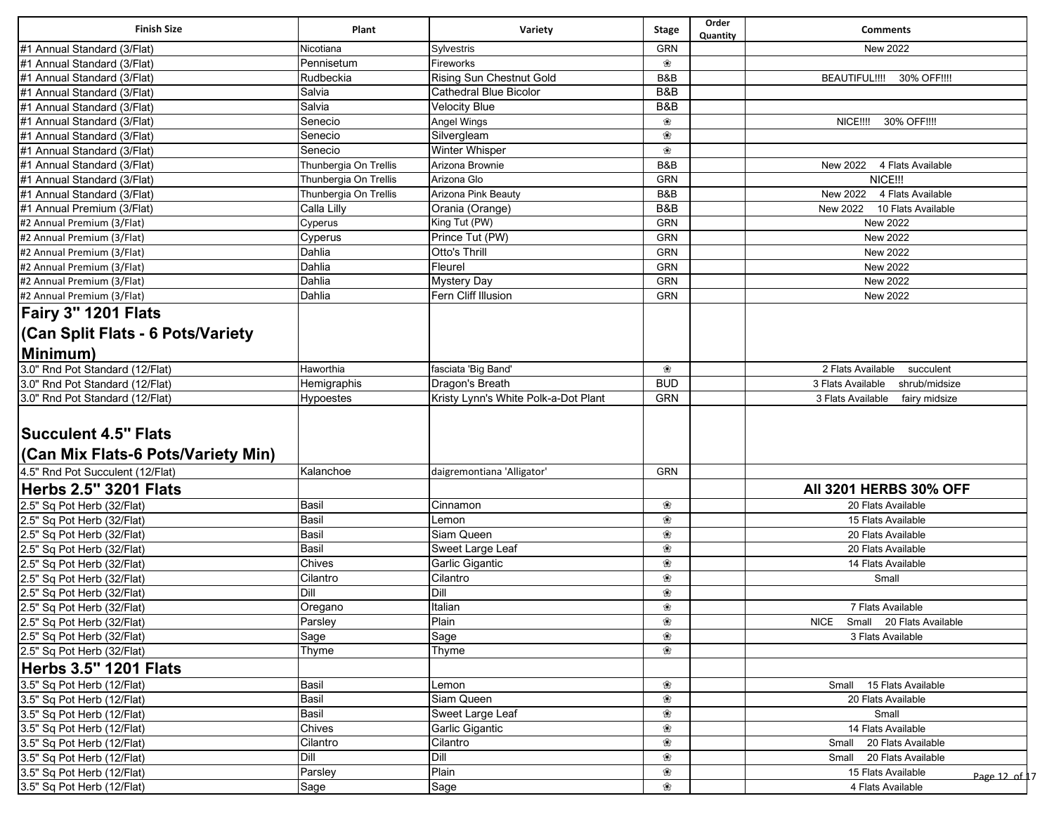| <b>Finish Size</b>                      | Plant                 | Variety                              | <b>Stage</b> | Order<br>Quantity | <b>Comments</b>                     |
|-----------------------------------------|-----------------------|--------------------------------------|--------------|-------------------|-------------------------------------|
| #1 Annual Standard (3/Flat)             | Nicotiana             | Sylvestris                           | GRN          |                   | New 2022                            |
| #1 Annual Standard (3/Flat)             | Pennisetum            | Fireworks                            | ❀            |                   |                                     |
| #1 Annual Standard (3/Flat)             | Rudbeckia             | <b>Rising Sun Chestnut Gold</b>      | B&B          |                   | BEAUTIFUL !!!!<br>30% OFF!!!!       |
| #1 Annual Standard (3/Flat)             | Salvia                | <b>Cathedral Blue Bicolor</b>        | B&B          |                   |                                     |
| #1 Annual Standard (3/Flat)             | Salvia                | <b>Velocity Blue</b>                 | B&B          |                   |                                     |
| #1 Annual Standard (3/Flat)             | Senecio               | Angel Wings                          | ❀            |                   | NICE!!!!<br>30% OFF!!!!             |
| #1 Annual Standard (3/Flat)             | Senecio               | Silvergleam                          | ❀            |                   |                                     |
| #1 Annual Standard (3/Flat)             | Senecio               | <b>Winter Whisper</b>                | ❀            |                   |                                     |
| #1 Annual Standard (3/Flat)             | Thunbergia On Trellis | Arizona Brownie                      | B&B          |                   | New 2022 4 Flats Available          |
| #1 Annual Standard (3/Flat)             | Thunbergia On Trellis | Arizona Glo                          | <b>GRN</b>   |                   | NICE !!!                            |
| #1 Annual Standard (3/Flat)             | Thunbergia On Trellis | Arizona Pink Beauty                  | B&B          |                   | New 2022<br>4 Flats Available       |
| #1 Annual Premium (3/Flat)              | Calla Lilly           | Orania (Orange)                      | B&B          |                   | 10 Flats Available<br>New 2022      |
| #2 Annual Premium (3/Flat)              | Cyperus               | King Tut (PW)                        | <b>GRN</b>   |                   | New 2022                            |
| #2 Annual Premium (3/Flat)              | Cyperus               | Prince Tut (PW)                      | GRN          |                   | New 2022                            |
| #2 Annual Premium (3/Flat)              | Dahlia                | Otto's Thrill                        | <b>GRN</b>   |                   | New 2022                            |
| #2 Annual Premium (3/Flat)              | Dahlia                | Fleurel                              | <b>GRN</b>   |                   | New 2022                            |
| #2 Annual Premium (3/Flat)              | Dahlia                | <b>Mystery Day</b>                   | GRN          |                   | <b>New 2022</b>                     |
| #2 Annual Premium (3/Flat)              | Dahlia                | Fern Cliff Illusion                  | GRN          |                   | <b>New 2022</b>                     |
| Fairy 3" 1201 Flats                     |                       |                                      |              |                   |                                     |
| <b>Can Split Flats - 6 Pots/Variety</b> |                       |                                      |              |                   |                                     |
| Minimum)                                |                       |                                      |              |                   |                                     |
| 3.0" Rnd Pot Standard (12/Flat)         | Haworthia             | fasciata 'Big Band'                  | ❀            |                   | 2 Flats Available<br>succulent      |
| 3.0" Rnd Pot Standard (12/Flat)         | Hemigraphis           | Dragon's Breath                      | <b>BUD</b>   |                   | shrub/midsize<br>3 Flats Available  |
| 3.0" Rnd Pot Standard (12/Flat)         | Hypoestes             | Kristy Lynn's White Polk-a-Dot Plant | <b>GRN</b>   |                   | 3 Flats Available<br>fairy midsize  |
| <b>Succulent 4.5" Flats</b>             |                       |                                      |              |                   |                                     |
| (Can Mix Flats-6 Pots/Variety Min)      |                       |                                      |              |                   |                                     |
| 4.5" Rnd Pot Succulent (12/Flat)        | Kalanchoe             | daigremontiana 'Alligator'           | GRN          |                   |                                     |
| <b>Herbs 2.5" 3201 Flats</b>            |                       |                                      |              |                   | <b>All 3201 HERBS 30% OFF</b>       |
| 2.5" Sq Pot Herb (32/Flat)              | <b>Basil</b>          | Cinnamon                             | ❀            |                   | 20 Flats Available                  |
| 2.5" Sq Pot Herb (32/Flat)              | Basil                 | Lemon                                | ❀            |                   | 15 Flats Available                  |
| 2.5" Sq Pot Herb (32/Flat)              | Basil                 | Siam Queen                           | ❀            |                   | 20 Flats Available                  |
| 2.5" Sq Pot Herb (32/Flat)              | Basil                 | Sweet Large Leaf                     | ❀            |                   | 20 Flats Available                  |
| 2.5" Sq Pot Herb (32/Flat)              | Chives                | Garlic Gigantic                      | ❀            |                   | 14 Flats Available                  |
| 2.5" Sq Pot Herb (32/Flat)              | Cilantro              | Cilantro                             | ❀            |                   | Small                               |
| 2.5" Sq Pot Herb (32/Flat)              | Dill                  | Dill                                 | ❀            |                   |                                     |
| 2.5" Sq Pot Herb (32/Flat)              | Oregano               | Italian                              | ❀            |                   | 7 Flats Available                   |
| 2.5" Sq Pot Herb (32/Flat)              | Parsley               | Plain                                | ❀            |                   | NICE Small 20 Flats Available       |
| 2.5" Sq Pot Herb (32/Flat)              | Sage                  | Sage                                 | ❀            |                   | 3 Flats Available                   |
| 2.5" Sq Pot Herb (32/Flat)              | Thyme                 | Thyme                                | ❀            |                   |                                     |
| <b>Herbs 3.5" 1201 Flats</b>            |                       |                                      |              |                   |                                     |
| 3.5" Sq Pot Herb (12/Flat)              | <b>Basil</b>          | Lemon                                | ❀            |                   | 15 Flats Available<br>Small         |
| 3.5" Sq Pot Herb (12/Flat)              | Basil                 | Siam Queen                           | ❀            |                   | 20 Flats Available                  |
| 3.5" Sq Pot Herb (12/Flat)              | Basil                 | Sweet Large Leaf                     | ❀            |                   | Small                               |
| 3.5" Sq Pot Herb (12/Flat)              | Chives                | Garlic Gigantic                      | ❀            |                   | 14 Flats Available                  |
| 3.5" Sq Pot Herb (12/Flat)              | Cilantro              | Cilantro                             | ❀            |                   | Small 20 Flats Available            |
| 3.5" Sq Pot Herb (12/Flat)              | Dill                  | Dill                                 | ❀            |                   | Small 20 Flats Available            |
| 3.5" Sq Pot Herb (12/Flat)              | Parsley               | Plain                                | ❀            |                   | 15 Flats Available<br>Page 12 of 17 |
| 3.5" Sq Pot Herb (12/Flat)              | Sage                  | Sage                                 | ❀            |                   | 4 Flats Available                   |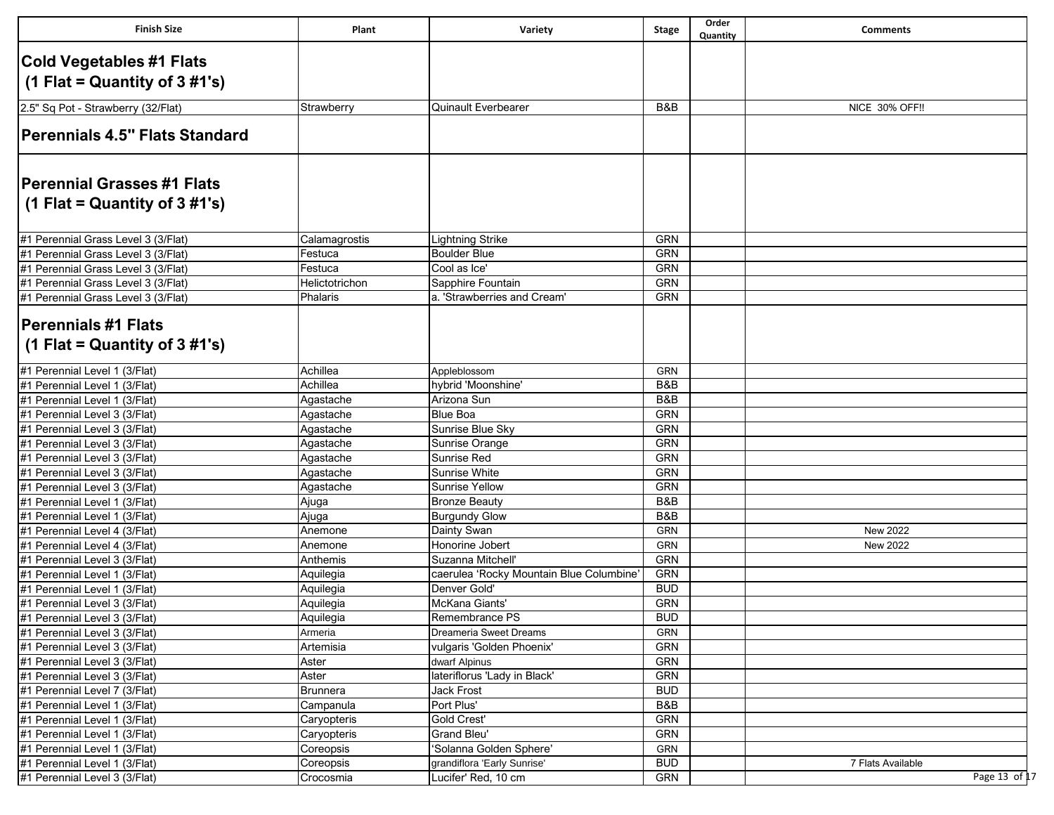| Cold Vegetables #1 Flats<br>(1 Flat = Quantity of $3\#1's$ )<br><b>Quinault Everbearer</b><br>B&B<br><b>NICE 30% OFF!!</b><br>2.5" Sq Pot - Strawberry (32/Flat)<br>Strawberry<br>Perennials 4.5" Flats Standard<br><b>Perennial Grasses #1 Flats</b><br>(1 Flat = Quantity of $3 \#1's$ )<br>#1 Perennial Grass Level 3 (3/Flat)<br><b>GRN</b><br><b>Lightning Strike</b><br>Calamagrostis<br><b>GRN</b><br><b>Boulder Blue</b><br>Festuca<br><b>GRN</b><br>Cool as Ice'<br>Festuca<br><b>GRN</b><br>Helictotrichon<br>Sapphire Fountain<br>a. 'Strawberries and Cream'<br><b>GRN</b><br>Phalaris<br><b>Perennials #1 Flats</b><br>(1 Flat = Quantity of $3 \#1's$ )<br>#1 Perennial Level 1 (3/Flat)<br>Achillea<br>Appleblossom<br>GRN<br>Achillea<br>hybrid 'Moonshine'<br>B&B<br>#1 Perennial Level 1 (3/Flat)<br>Arizona Sun<br>B&B<br>Agastache<br><b>Blue Boa</b><br><b>GRN</b><br>Agastache<br><b>GRN</b><br>Sunrise Blue Sky<br>Agastache<br>GRN<br>Agastache<br>Sunrise Orange<br><b>GRN</b><br>Sunrise Red<br>Agastache<br><b>GRN</b><br>Agastache<br>Sunrise White<br><b>GRN</b><br>Agastache<br><b>Sunrise Yellow</b><br>#1 Perennial Level 1 (3/Flat)<br>B&B<br><b>Bronze Beauty</b><br>Ajuga<br>B&B<br><b>Burgundy Glow</b><br>#1 Perennial Level 1 (3/Flat)<br>Ajuga<br>#1 Perennial Level 4 (3/Flat)<br>Anemone<br>Dainty Swan<br>GRN<br>New 2022<br>Honorine Jobert<br><b>GRN</b><br>#1 Perennial Level 4 (3/Flat)<br>Anemone<br><b>New 2022</b><br><b>GRN</b><br>Anthemis<br>Suzanna Mitchell'<br>#1 Perennial Level 3 (3/Flat)<br>#1 Perennial Level 1 (3/Flat)<br><b>GRN</b><br>caerulea 'Rocky Mountain Blue Columbine'<br>Aquilegia<br>#1 Perennial Level 1 (3/Flat)<br>Denver Gold'<br><b>BUD</b><br>Aquilegia<br>McKana Giants'<br><b>GRN</b><br>#1 Perennial Level 3 (3/Flat)<br>Aquilegia<br><b>BUD</b><br> #1 Perennial Level 3 (3/Flat)<br>Aquilegia<br>Remembrance PS<br><b>GRN</b><br>#1 Perennial Level 3 (3/Flat)<br>Armeria<br>Dreameria Sweet Dreams<br>#1 Perennial Level 3 (3/Flat)<br>GRN<br>Artemisia<br>vulgaris 'Golden Phoenix'<br>#1 Perennial Level 3 (3/Flat)<br>GRN<br>Aster<br>dwarf Alpinus<br>lateriflorus 'Lady in Black'<br>GRN<br>#1 Perennial Level 3 (3/Flat)<br>Aster<br>#1 Perennial Level 7 (3/Flat)<br><b>BUD</b><br><b>Brunnera</b><br>Jack Frost<br>B&B<br>#1 Perennial Level 1 (3/Flat)<br>Port Plus'<br>Campanula<br>GRN<br>#1 Perennial Level 1 (3/Flat)<br><b>Gold Crest'</b><br>Caryopteris<br>#1 Perennial Level 1 (3/Flat)<br>Grand Bleu'<br><b>GRN</b><br>Caryopteris<br>#1 Perennial Level 1 (3/Flat)<br>'Solanna Golden Sphere'<br>GRN<br>Coreopsis<br><b>BUD</b><br>grandiflora 'Early Sunrise'<br>Coreopsis<br>7 Flats Available<br>GRN<br>Lucifer' Red, 10 cm<br>Crocosmia | <b>Finish Size</b>                  | Plant | Variety | <b>Stage</b> | Order<br>Quantity | <b>Comments</b> |
|------------------------------------------------------------------------------------------------------------------------------------------------------------------------------------------------------------------------------------------------------------------------------------------------------------------------------------------------------------------------------------------------------------------------------------------------------------------------------------------------------------------------------------------------------------------------------------------------------------------------------------------------------------------------------------------------------------------------------------------------------------------------------------------------------------------------------------------------------------------------------------------------------------------------------------------------------------------------------------------------------------------------------------------------------------------------------------------------------------------------------------------------------------------------------------------------------------------------------------------------------------------------------------------------------------------------------------------------------------------------------------------------------------------------------------------------------------------------------------------------------------------------------------------------------------------------------------------------------------------------------------------------------------------------------------------------------------------------------------------------------------------------------------------------------------------------------------------------------------------------------------------------------------------------------------------------------------------------------------------------------------------------------------------------------------------------------------------------------------------------------------------------------------------------------------------------------------------------------------------------------------------------------------------------------------------------------------------------------------------------------------------------------------------------------------------------------------------------------------------------------------------------------------------------------------------------------------------------------------------------------------------------------------------------------------------------------------------------------------------------------|-------------------------------------|-------|---------|--------------|-------------------|-----------------|
|                                                                                                                                                                                                                                                                                                                                                                                                                                                                                                                                                                                                                                                                                                                                                                                                                                                                                                                                                                                                                                                                                                                                                                                                                                                                                                                                                                                                                                                                                                                                                                                                                                                                                                                                                                                                                                                                                                                                                                                                                                                                                                                                                                                                                                                                                                                                                                                                                                                                                                                                                                                                                                                                                                                                                      |                                     |       |         |              |                   |                 |
|                                                                                                                                                                                                                                                                                                                                                                                                                                                                                                                                                                                                                                                                                                                                                                                                                                                                                                                                                                                                                                                                                                                                                                                                                                                                                                                                                                                                                                                                                                                                                                                                                                                                                                                                                                                                                                                                                                                                                                                                                                                                                                                                                                                                                                                                                                                                                                                                                                                                                                                                                                                                                                                                                                                                                      |                                     |       |         |              |                   |                 |
|                                                                                                                                                                                                                                                                                                                                                                                                                                                                                                                                                                                                                                                                                                                                                                                                                                                                                                                                                                                                                                                                                                                                                                                                                                                                                                                                                                                                                                                                                                                                                                                                                                                                                                                                                                                                                                                                                                                                                                                                                                                                                                                                                                                                                                                                                                                                                                                                                                                                                                                                                                                                                                                                                                                                                      |                                     |       |         |              |                   |                 |
|                                                                                                                                                                                                                                                                                                                                                                                                                                                                                                                                                                                                                                                                                                                                                                                                                                                                                                                                                                                                                                                                                                                                                                                                                                                                                                                                                                                                                                                                                                                                                                                                                                                                                                                                                                                                                                                                                                                                                                                                                                                                                                                                                                                                                                                                                                                                                                                                                                                                                                                                                                                                                                                                                                                                                      |                                     |       |         |              |                   |                 |
|                                                                                                                                                                                                                                                                                                                                                                                                                                                                                                                                                                                                                                                                                                                                                                                                                                                                                                                                                                                                                                                                                                                                                                                                                                                                                                                                                                                                                                                                                                                                                                                                                                                                                                                                                                                                                                                                                                                                                                                                                                                                                                                                                                                                                                                                                                                                                                                                                                                                                                                                                                                                                                                                                                                                                      |                                     |       |         |              |                   |                 |
|                                                                                                                                                                                                                                                                                                                                                                                                                                                                                                                                                                                                                                                                                                                                                                                                                                                                                                                                                                                                                                                                                                                                                                                                                                                                                                                                                                                                                                                                                                                                                                                                                                                                                                                                                                                                                                                                                                                                                                                                                                                                                                                                                                                                                                                                                                                                                                                                                                                                                                                                                                                                                                                                                                                                                      |                                     |       |         |              |                   |                 |
|                                                                                                                                                                                                                                                                                                                                                                                                                                                                                                                                                                                                                                                                                                                                                                                                                                                                                                                                                                                                                                                                                                                                                                                                                                                                                                                                                                                                                                                                                                                                                                                                                                                                                                                                                                                                                                                                                                                                                                                                                                                                                                                                                                                                                                                                                                                                                                                                                                                                                                                                                                                                                                                                                                                                                      |                                     |       |         |              |                   |                 |
|                                                                                                                                                                                                                                                                                                                                                                                                                                                                                                                                                                                                                                                                                                                                                                                                                                                                                                                                                                                                                                                                                                                                                                                                                                                                                                                                                                                                                                                                                                                                                                                                                                                                                                                                                                                                                                                                                                                                                                                                                                                                                                                                                                                                                                                                                                                                                                                                                                                                                                                                                                                                                                                                                                                                                      |                                     |       |         |              |                   |                 |
|                                                                                                                                                                                                                                                                                                                                                                                                                                                                                                                                                                                                                                                                                                                                                                                                                                                                                                                                                                                                                                                                                                                                                                                                                                                                                                                                                                                                                                                                                                                                                                                                                                                                                                                                                                                                                                                                                                                                                                                                                                                                                                                                                                                                                                                                                                                                                                                                                                                                                                                                                                                                                                                                                                                                                      |                                     |       |         |              |                   |                 |
|                                                                                                                                                                                                                                                                                                                                                                                                                                                                                                                                                                                                                                                                                                                                                                                                                                                                                                                                                                                                                                                                                                                                                                                                                                                                                                                                                                                                                                                                                                                                                                                                                                                                                                                                                                                                                                                                                                                                                                                                                                                                                                                                                                                                                                                                                                                                                                                                                                                                                                                                                                                                                                                                                                                                                      |                                     |       |         |              |                   |                 |
|                                                                                                                                                                                                                                                                                                                                                                                                                                                                                                                                                                                                                                                                                                                                                                                                                                                                                                                                                                                                                                                                                                                                                                                                                                                                                                                                                                                                                                                                                                                                                                                                                                                                                                                                                                                                                                                                                                                                                                                                                                                                                                                                                                                                                                                                                                                                                                                                                                                                                                                                                                                                                                                                                                                                                      |                                     |       |         |              |                   |                 |
|                                                                                                                                                                                                                                                                                                                                                                                                                                                                                                                                                                                                                                                                                                                                                                                                                                                                                                                                                                                                                                                                                                                                                                                                                                                                                                                                                                                                                                                                                                                                                                                                                                                                                                                                                                                                                                                                                                                                                                                                                                                                                                                                                                                                                                                                                                                                                                                                                                                                                                                                                                                                                                                                                                                                                      | #1 Perennial Grass Level 3 (3/Flat) |       |         |              |                   |                 |
|                                                                                                                                                                                                                                                                                                                                                                                                                                                                                                                                                                                                                                                                                                                                                                                                                                                                                                                                                                                                                                                                                                                                                                                                                                                                                                                                                                                                                                                                                                                                                                                                                                                                                                                                                                                                                                                                                                                                                                                                                                                                                                                                                                                                                                                                                                                                                                                                                                                                                                                                                                                                                                                                                                                                                      | #1 Perennial Grass Level 3 (3/Flat) |       |         |              |                   |                 |
|                                                                                                                                                                                                                                                                                                                                                                                                                                                                                                                                                                                                                                                                                                                                                                                                                                                                                                                                                                                                                                                                                                                                                                                                                                                                                                                                                                                                                                                                                                                                                                                                                                                                                                                                                                                                                                                                                                                                                                                                                                                                                                                                                                                                                                                                                                                                                                                                                                                                                                                                                                                                                                                                                                                                                      | #1 Perennial Grass Level 3 (3/Flat) |       |         |              |                   |                 |
|                                                                                                                                                                                                                                                                                                                                                                                                                                                                                                                                                                                                                                                                                                                                                                                                                                                                                                                                                                                                                                                                                                                                                                                                                                                                                                                                                                                                                                                                                                                                                                                                                                                                                                                                                                                                                                                                                                                                                                                                                                                                                                                                                                                                                                                                                                                                                                                                                                                                                                                                                                                                                                                                                                                                                      | #1 Perennial Grass Level 3 (3/Flat) |       |         |              |                   |                 |
|                                                                                                                                                                                                                                                                                                                                                                                                                                                                                                                                                                                                                                                                                                                                                                                                                                                                                                                                                                                                                                                                                                                                                                                                                                                                                                                                                                                                                                                                                                                                                                                                                                                                                                                                                                                                                                                                                                                                                                                                                                                                                                                                                                                                                                                                                                                                                                                                                                                                                                                                                                                                                                                                                                                                                      |                                     |       |         |              |                   |                 |
|                                                                                                                                                                                                                                                                                                                                                                                                                                                                                                                                                                                                                                                                                                                                                                                                                                                                                                                                                                                                                                                                                                                                                                                                                                                                                                                                                                                                                                                                                                                                                                                                                                                                                                                                                                                                                                                                                                                                                                                                                                                                                                                                                                                                                                                                                                                                                                                                                                                                                                                                                                                                                                                                                                                                                      |                                     |       |         |              |                   |                 |
|                                                                                                                                                                                                                                                                                                                                                                                                                                                                                                                                                                                                                                                                                                                                                                                                                                                                                                                                                                                                                                                                                                                                                                                                                                                                                                                                                                                                                                                                                                                                                                                                                                                                                                                                                                                                                                                                                                                                                                                                                                                                                                                                                                                                                                                                                                                                                                                                                                                                                                                                                                                                                                                                                                                                                      |                                     |       |         |              |                   |                 |
|                                                                                                                                                                                                                                                                                                                                                                                                                                                                                                                                                                                                                                                                                                                                                                                                                                                                                                                                                                                                                                                                                                                                                                                                                                                                                                                                                                                                                                                                                                                                                                                                                                                                                                                                                                                                                                                                                                                                                                                                                                                                                                                                                                                                                                                                                                                                                                                                                                                                                                                                                                                                                                                                                                                                                      |                                     |       |         |              |                   |                 |
|                                                                                                                                                                                                                                                                                                                                                                                                                                                                                                                                                                                                                                                                                                                                                                                                                                                                                                                                                                                                                                                                                                                                                                                                                                                                                                                                                                                                                                                                                                                                                                                                                                                                                                                                                                                                                                                                                                                                                                                                                                                                                                                                                                                                                                                                                                                                                                                                                                                                                                                                                                                                                                                                                                                                                      |                                     |       |         |              |                   |                 |
|                                                                                                                                                                                                                                                                                                                                                                                                                                                                                                                                                                                                                                                                                                                                                                                                                                                                                                                                                                                                                                                                                                                                                                                                                                                                                                                                                                                                                                                                                                                                                                                                                                                                                                                                                                                                                                                                                                                                                                                                                                                                                                                                                                                                                                                                                                                                                                                                                                                                                                                                                                                                                                                                                                                                                      | #1 Perennial Level 1 (3/Flat)       |       |         |              |                   |                 |
|                                                                                                                                                                                                                                                                                                                                                                                                                                                                                                                                                                                                                                                                                                                                                                                                                                                                                                                                                                                                                                                                                                                                                                                                                                                                                                                                                                                                                                                                                                                                                                                                                                                                                                                                                                                                                                                                                                                                                                                                                                                                                                                                                                                                                                                                                                                                                                                                                                                                                                                                                                                                                                                                                                                                                      | #1 Perennial Level 3 (3/Flat)       |       |         |              |                   |                 |
|                                                                                                                                                                                                                                                                                                                                                                                                                                                                                                                                                                                                                                                                                                                                                                                                                                                                                                                                                                                                                                                                                                                                                                                                                                                                                                                                                                                                                                                                                                                                                                                                                                                                                                                                                                                                                                                                                                                                                                                                                                                                                                                                                                                                                                                                                                                                                                                                                                                                                                                                                                                                                                                                                                                                                      | #1 Perennial Level 3 (3/Flat)       |       |         |              |                   |                 |
|                                                                                                                                                                                                                                                                                                                                                                                                                                                                                                                                                                                                                                                                                                                                                                                                                                                                                                                                                                                                                                                                                                                                                                                                                                                                                                                                                                                                                                                                                                                                                                                                                                                                                                                                                                                                                                                                                                                                                                                                                                                                                                                                                                                                                                                                                                                                                                                                                                                                                                                                                                                                                                                                                                                                                      | #1 Perennial Level 3 (3/Flat)       |       |         |              |                   |                 |
|                                                                                                                                                                                                                                                                                                                                                                                                                                                                                                                                                                                                                                                                                                                                                                                                                                                                                                                                                                                                                                                                                                                                                                                                                                                                                                                                                                                                                                                                                                                                                                                                                                                                                                                                                                                                                                                                                                                                                                                                                                                                                                                                                                                                                                                                                                                                                                                                                                                                                                                                                                                                                                                                                                                                                      | #1 Perennial Level 3 (3/Flat)       |       |         |              |                   |                 |
|                                                                                                                                                                                                                                                                                                                                                                                                                                                                                                                                                                                                                                                                                                                                                                                                                                                                                                                                                                                                                                                                                                                                                                                                                                                                                                                                                                                                                                                                                                                                                                                                                                                                                                                                                                                                                                                                                                                                                                                                                                                                                                                                                                                                                                                                                                                                                                                                                                                                                                                                                                                                                                                                                                                                                      | #1 Perennial Level 3 (3/Flat)       |       |         |              |                   |                 |
|                                                                                                                                                                                                                                                                                                                                                                                                                                                                                                                                                                                                                                                                                                                                                                                                                                                                                                                                                                                                                                                                                                                                                                                                                                                                                                                                                                                                                                                                                                                                                                                                                                                                                                                                                                                                                                                                                                                                                                                                                                                                                                                                                                                                                                                                                                                                                                                                                                                                                                                                                                                                                                                                                                                                                      | #1 Perennial Level 3 (3/Flat)       |       |         |              |                   |                 |
|                                                                                                                                                                                                                                                                                                                                                                                                                                                                                                                                                                                                                                                                                                                                                                                                                                                                                                                                                                                                                                                                                                                                                                                                                                                                                                                                                                                                                                                                                                                                                                                                                                                                                                                                                                                                                                                                                                                                                                                                                                                                                                                                                                                                                                                                                                                                                                                                                                                                                                                                                                                                                                                                                                                                                      |                                     |       |         |              |                   |                 |
|                                                                                                                                                                                                                                                                                                                                                                                                                                                                                                                                                                                                                                                                                                                                                                                                                                                                                                                                                                                                                                                                                                                                                                                                                                                                                                                                                                                                                                                                                                                                                                                                                                                                                                                                                                                                                                                                                                                                                                                                                                                                                                                                                                                                                                                                                                                                                                                                                                                                                                                                                                                                                                                                                                                                                      |                                     |       |         |              |                   |                 |
|                                                                                                                                                                                                                                                                                                                                                                                                                                                                                                                                                                                                                                                                                                                                                                                                                                                                                                                                                                                                                                                                                                                                                                                                                                                                                                                                                                                                                                                                                                                                                                                                                                                                                                                                                                                                                                                                                                                                                                                                                                                                                                                                                                                                                                                                                                                                                                                                                                                                                                                                                                                                                                                                                                                                                      |                                     |       |         |              |                   |                 |
|                                                                                                                                                                                                                                                                                                                                                                                                                                                                                                                                                                                                                                                                                                                                                                                                                                                                                                                                                                                                                                                                                                                                                                                                                                                                                                                                                                                                                                                                                                                                                                                                                                                                                                                                                                                                                                                                                                                                                                                                                                                                                                                                                                                                                                                                                                                                                                                                                                                                                                                                                                                                                                                                                                                                                      |                                     |       |         |              |                   |                 |
|                                                                                                                                                                                                                                                                                                                                                                                                                                                                                                                                                                                                                                                                                                                                                                                                                                                                                                                                                                                                                                                                                                                                                                                                                                                                                                                                                                                                                                                                                                                                                                                                                                                                                                                                                                                                                                                                                                                                                                                                                                                                                                                                                                                                                                                                                                                                                                                                                                                                                                                                                                                                                                                                                                                                                      |                                     |       |         |              |                   |                 |
|                                                                                                                                                                                                                                                                                                                                                                                                                                                                                                                                                                                                                                                                                                                                                                                                                                                                                                                                                                                                                                                                                                                                                                                                                                                                                                                                                                                                                                                                                                                                                                                                                                                                                                                                                                                                                                                                                                                                                                                                                                                                                                                                                                                                                                                                                                                                                                                                                                                                                                                                                                                                                                                                                                                                                      |                                     |       |         |              |                   |                 |
|                                                                                                                                                                                                                                                                                                                                                                                                                                                                                                                                                                                                                                                                                                                                                                                                                                                                                                                                                                                                                                                                                                                                                                                                                                                                                                                                                                                                                                                                                                                                                                                                                                                                                                                                                                                                                                                                                                                                                                                                                                                                                                                                                                                                                                                                                                                                                                                                                                                                                                                                                                                                                                                                                                                                                      |                                     |       |         |              |                   |                 |
|                                                                                                                                                                                                                                                                                                                                                                                                                                                                                                                                                                                                                                                                                                                                                                                                                                                                                                                                                                                                                                                                                                                                                                                                                                                                                                                                                                                                                                                                                                                                                                                                                                                                                                                                                                                                                                                                                                                                                                                                                                                                                                                                                                                                                                                                                                                                                                                                                                                                                                                                                                                                                                                                                                                                                      |                                     |       |         |              |                   |                 |
|                                                                                                                                                                                                                                                                                                                                                                                                                                                                                                                                                                                                                                                                                                                                                                                                                                                                                                                                                                                                                                                                                                                                                                                                                                                                                                                                                                                                                                                                                                                                                                                                                                                                                                                                                                                                                                                                                                                                                                                                                                                                                                                                                                                                                                                                                                                                                                                                                                                                                                                                                                                                                                                                                                                                                      |                                     |       |         |              |                   |                 |
|                                                                                                                                                                                                                                                                                                                                                                                                                                                                                                                                                                                                                                                                                                                                                                                                                                                                                                                                                                                                                                                                                                                                                                                                                                                                                                                                                                                                                                                                                                                                                                                                                                                                                                                                                                                                                                                                                                                                                                                                                                                                                                                                                                                                                                                                                                                                                                                                                                                                                                                                                                                                                                                                                                                                                      |                                     |       |         |              |                   |                 |
|                                                                                                                                                                                                                                                                                                                                                                                                                                                                                                                                                                                                                                                                                                                                                                                                                                                                                                                                                                                                                                                                                                                                                                                                                                                                                                                                                                                                                                                                                                                                                                                                                                                                                                                                                                                                                                                                                                                                                                                                                                                                                                                                                                                                                                                                                                                                                                                                                                                                                                                                                                                                                                                                                                                                                      |                                     |       |         |              |                   |                 |
|                                                                                                                                                                                                                                                                                                                                                                                                                                                                                                                                                                                                                                                                                                                                                                                                                                                                                                                                                                                                                                                                                                                                                                                                                                                                                                                                                                                                                                                                                                                                                                                                                                                                                                                                                                                                                                                                                                                                                                                                                                                                                                                                                                                                                                                                                                                                                                                                                                                                                                                                                                                                                                                                                                                                                      |                                     |       |         |              |                   |                 |
|                                                                                                                                                                                                                                                                                                                                                                                                                                                                                                                                                                                                                                                                                                                                                                                                                                                                                                                                                                                                                                                                                                                                                                                                                                                                                                                                                                                                                                                                                                                                                                                                                                                                                                                                                                                                                                                                                                                                                                                                                                                                                                                                                                                                                                                                                                                                                                                                                                                                                                                                                                                                                                                                                                                                                      |                                     |       |         |              |                   |                 |
|                                                                                                                                                                                                                                                                                                                                                                                                                                                                                                                                                                                                                                                                                                                                                                                                                                                                                                                                                                                                                                                                                                                                                                                                                                                                                                                                                                                                                                                                                                                                                                                                                                                                                                                                                                                                                                                                                                                                                                                                                                                                                                                                                                                                                                                                                                                                                                                                                                                                                                                                                                                                                                                                                                                                                      |                                     |       |         |              |                   |                 |
|                                                                                                                                                                                                                                                                                                                                                                                                                                                                                                                                                                                                                                                                                                                                                                                                                                                                                                                                                                                                                                                                                                                                                                                                                                                                                                                                                                                                                                                                                                                                                                                                                                                                                                                                                                                                                                                                                                                                                                                                                                                                                                                                                                                                                                                                                                                                                                                                                                                                                                                                                                                                                                                                                                                                                      |                                     |       |         |              |                   |                 |
|                                                                                                                                                                                                                                                                                                                                                                                                                                                                                                                                                                                                                                                                                                                                                                                                                                                                                                                                                                                                                                                                                                                                                                                                                                                                                                                                                                                                                                                                                                                                                                                                                                                                                                                                                                                                                                                                                                                                                                                                                                                                                                                                                                                                                                                                                                                                                                                                                                                                                                                                                                                                                                                                                                                                                      |                                     |       |         |              |                   |                 |
|                                                                                                                                                                                                                                                                                                                                                                                                                                                                                                                                                                                                                                                                                                                                                                                                                                                                                                                                                                                                                                                                                                                                                                                                                                                                                                                                                                                                                                                                                                                                                                                                                                                                                                                                                                                                                                                                                                                                                                                                                                                                                                                                                                                                                                                                                                                                                                                                                                                                                                                                                                                                                                                                                                                                                      |                                     |       |         |              |                   |                 |
|                                                                                                                                                                                                                                                                                                                                                                                                                                                                                                                                                                                                                                                                                                                                                                                                                                                                                                                                                                                                                                                                                                                                                                                                                                                                                                                                                                                                                                                                                                                                                                                                                                                                                                                                                                                                                                                                                                                                                                                                                                                                                                                                                                                                                                                                                                                                                                                                                                                                                                                                                                                                                                                                                                                                                      | #1 Perennial Level 1 (3/Flat)       |       |         |              |                   |                 |
|                                                                                                                                                                                                                                                                                                                                                                                                                                                                                                                                                                                                                                                                                                                                                                                                                                                                                                                                                                                                                                                                                                                                                                                                                                                                                                                                                                                                                                                                                                                                                                                                                                                                                                                                                                                                                                                                                                                                                                                                                                                                                                                                                                                                                                                                                                                                                                                                                                                                                                                                                                                                                                                                                                                                                      | #1 Perennial Level 3 (3/Flat)       |       |         |              |                   | Page 13 of 17   |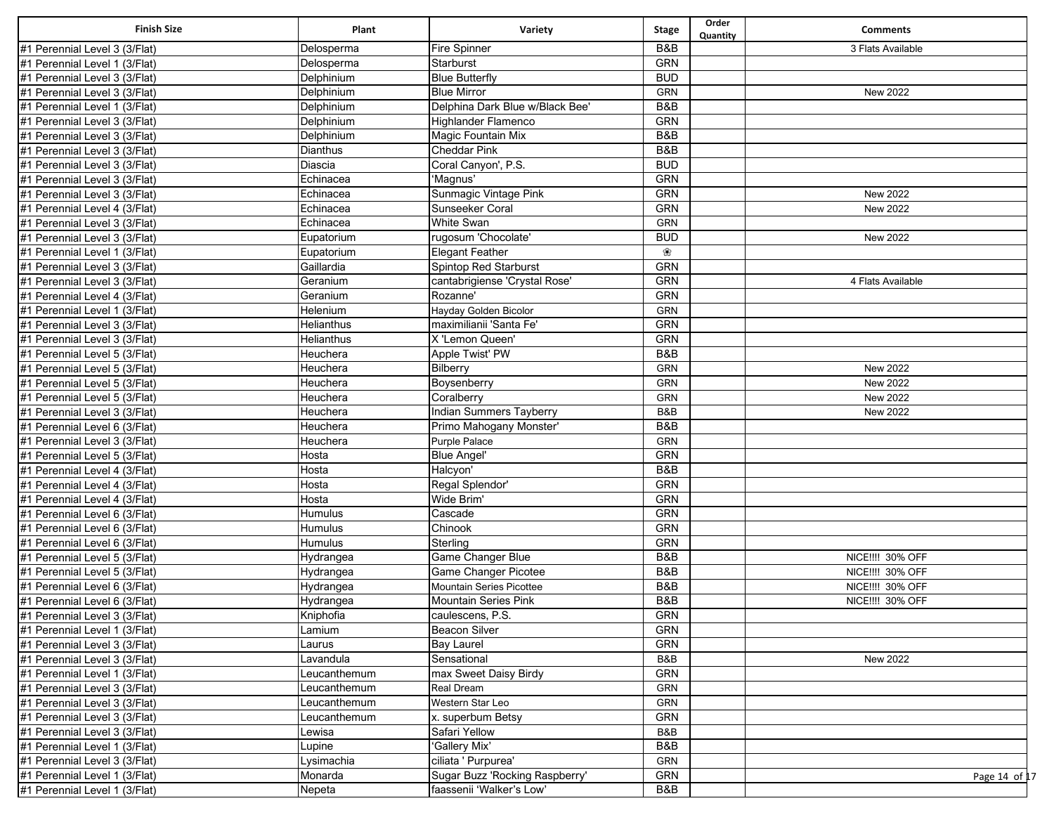| <b>Finish Size</b>            | Plant        | Variety                         | <b>Stage</b>   | Order<br>Quantity | <b>Comments</b>   |
|-------------------------------|--------------|---------------------------------|----------------|-------------------|-------------------|
| #1 Perennial Level 3 (3/Flat) | Delosperma   | Fire Spinner                    | B&B            |                   | 3 Flats Available |
| #1 Perennial Level 1 (3/Flat) | Delosperma   | Starburst                       | <b>GRN</b>     |                   |                   |
| #1 Perennial Level 3 (3/Flat) | Delphinium   | <b>Blue Butterfly</b>           | <b>BUD</b>     |                   |                   |
| #1 Perennial Level 3 (3/Flat) | Delphinium   | <b>Blue Mirror</b>              | <b>GRN</b>     |                   | <b>New 2022</b>   |
| #1 Perennial Level 1 (3/Flat) | Delphinium   | Delphina Dark Blue w/Black Bee' | B&B            |                   |                   |
| #1 Perennial Level 3 (3/Flat) | Delphinium   | Highlander Flamenco             | <b>GRN</b>     |                   |                   |
| #1 Perennial Level 3 (3/Flat) | Delphinium   | Magic Fountain Mix              | <b>B&amp;B</b> |                   |                   |
| #1 Perennial Level 3 (3/Flat) | Dianthus     | <b>Cheddar Pink</b>             | B&B            |                   |                   |
| #1 Perennial Level 3 (3/Flat) | Diascia      | Coral Canyon', P.S.             | <b>BUD</b>     |                   |                   |
| #1 Perennial Level 3 (3/Flat) | Echinacea    | 'Magnus'                        | <b>GRN</b>     |                   |                   |
| #1 Perennial Level 3 (3/Flat) | Echinacea    | Sunmagic Vintage Pink           | GRN            |                   | New 2022          |
| #1 Perennial Level 4 (3/Flat) | Echinacea    | Sunseeker Coral                 | <b>GRN</b>     |                   | <b>New 2022</b>   |
| #1 Perennial Level 3 (3/Flat) | Echinacea    | <b>White Swan</b>               | GRN            |                   |                   |
| #1 Perennial Level 3 (3/Flat) | Eupatorium   | rugosum 'Chocolate'             | <b>BUD</b>     |                   | <b>New 2022</b>   |
| #1 Perennial Level 1 (3/Flat) | Eupatorium   | Elegant Feather                 | ❀              |                   |                   |
| #1 Perennial Level 3 (3/Flat) | Gaillardia   | Spintop Red Starburst           | GRN            |                   |                   |
| #1 Perennial Level 3 (3/Flat) | Geranium     | cantabrigiense 'Crystal Rose'   | <b>GRN</b>     |                   | 4 Flats Available |
| #1 Perennial Level 4 (3/Flat) | Geranium     | Rozanne'                        | <b>GRN</b>     |                   |                   |
| #1 Perennial Level 1 (3/Flat) | Helenium     | Hayday Golden Bicolor           | GRN            |                   |                   |
| #1 Perennial Level 3 (3/Flat) | Helianthus   | maximilianii 'Santa Fe'         | <b>GRN</b>     |                   |                   |
| #1 Perennial Level 3 (3/Flat) | Helianthus   | X 'Lemon Queen'                 | <b>GRN</b>     |                   |                   |
| #1 Perennial Level 5 (3/Flat) | Heuchera     | Apple Twist' PW                 | B&B            |                   |                   |
| #1 Perennial Level 5 (3/Flat) | Heuchera     | Bilberry                        | GRN            |                   | <b>New 2022</b>   |
| #1 Perennial Level 5 (3/Flat) | Heuchera     | Boysenberry                     | GRN            |                   | <b>New 2022</b>   |
| #1 Perennial Level 5 (3/Flat) | Heuchera     | Coralberry                      | GRN            |                   | <b>New 2022</b>   |
| #1 Perennial Level 3 (3/Flat) | Heuchera     | <b>Indian Summers Tayberry</b>  | B&B            |                   | New 2022          |
| #1 Perennial Level 6 (3/Flat) | Heuchera     | Primo Mahogany Monster'         | B&B            |                   |                   |
| #1 Perennial Level 3 (3/Flat) | Heuchera     | <b>Purple Palace</b>            | GRN            |                   |                   |
| #1 Perennial Level 5 (3/Flat) | Hosta        | <b>Blue Angel'</b>              | <b>GRN</b>     |                   |                   |
| #1 Perennial Level 4 (3/Flat) | Hosta        | Halcyon'                        | <b>B&amp;B</b> |                   |                   |
| #1 Perennial Level 4 (3/Flat) | Hosta        | Regal Splendor'                 | <b>GRN</b>     |                   |                   |
| #1 Perennial Level 4 (3/Flat) | Hosta        | Wide Brim                       | <b>GRN</b>     |                   |                   |
| #1 Perennial Level 6 (3/Flat) | Humulus      | Cascade                         | <b>GRN</b>     |                   |                   |
| #1 Perennial Level 6 (3/Flat) | Humulus      | Chinook                         | <b>GRN</b>     |                   |                   |
| #1 Perennial Level 6 (3/Flat) | Humulus      | Sterling                        | <b>GRN</b>     |                   |                   |
| #1 Perennial Level 5 (3/Flat) | Hydrangea    | Game Changer Blue               | B&B            |                   | NICE !!!! 30% OFF |
| #1 Perennial Level 5 (3/Flat) | Hydrangea    | Game Changer Picotee            | B&B            |                   | NICE !!! 30% OFF  |
| #1 Perennial Level 6 (3/Flat) | Hydrangea    | <b>Mountain Series Picottee</b> | B&B            |                   | NICE !!!! 30% OFF |
| #1 Perennial Level 6 (3/Flat) | Hydrangea    | <b>Mountain Series Pink</b>     | B&B            |                   | NICE !!!! 30% OFF |
| #1 Perennial Level 3 (3/Flat) | Kniphofia    | caulescens, P.S.                | <b>GRN</b>     |                   |                   |
| #1 Perennial Level 1 (3/Flat) | Lamium       | <b>Beacon Silver</b>            | <b>GRN</b>     |                   |                   |
| #1 Perennial Level 3 (3/Flat) | Laurus       | <b>Bay Laurel</b>               | GRN            |                   |                   |
| #1 Perennial Level 3 (3/Flat) | Lavandula    | Sensational                     | B&B            |                   | New 2022          |
| #1 Perennial Level 1 (3/Flat) | Leucanthemum | max Sweet Daisy Birdy           | GRN            |                   |                   |
| #1 Perennial Level 3 (3/Flat) | Leucanthemum | Real Dream                      | GRN            |                   |                   |
| #1 Perennial Level 3 (3/Flat) | Leucanthemum | Western Star Leo                | GRN            |                   |                   |
| #1 Perennial Level 3 (3/Flat) | Leucanthemum | x. superbum Betsy               | GRN            |                   |                   |
| #1 Perennial Level 3 (3/Flat) | Lewisa       | Safari Yellow                   | B&B            |                   |                   |
| #1 Perennial Level 1 (3/Flat) | Lupine       | 'Gallery Mix'                   | B&B            |                   |                   |
| #1 Perennial Level 3 (3/Flat) | Lysimachia   | ciliata ' Purpurea'             | <b>GRN</b>     |                   |                   |
| #1 Perennial Level 1 (3/Flat) | Monarda      | Sugar Buzz 'Rocking Raspberry'  | <b>GRN</b>     |                   | Page 14 of 17     |
| #1 Perennial Level 1 (3/Flat) | Nepeta       | faassenii 'Walker's Low'        | B&B            |                   |                   |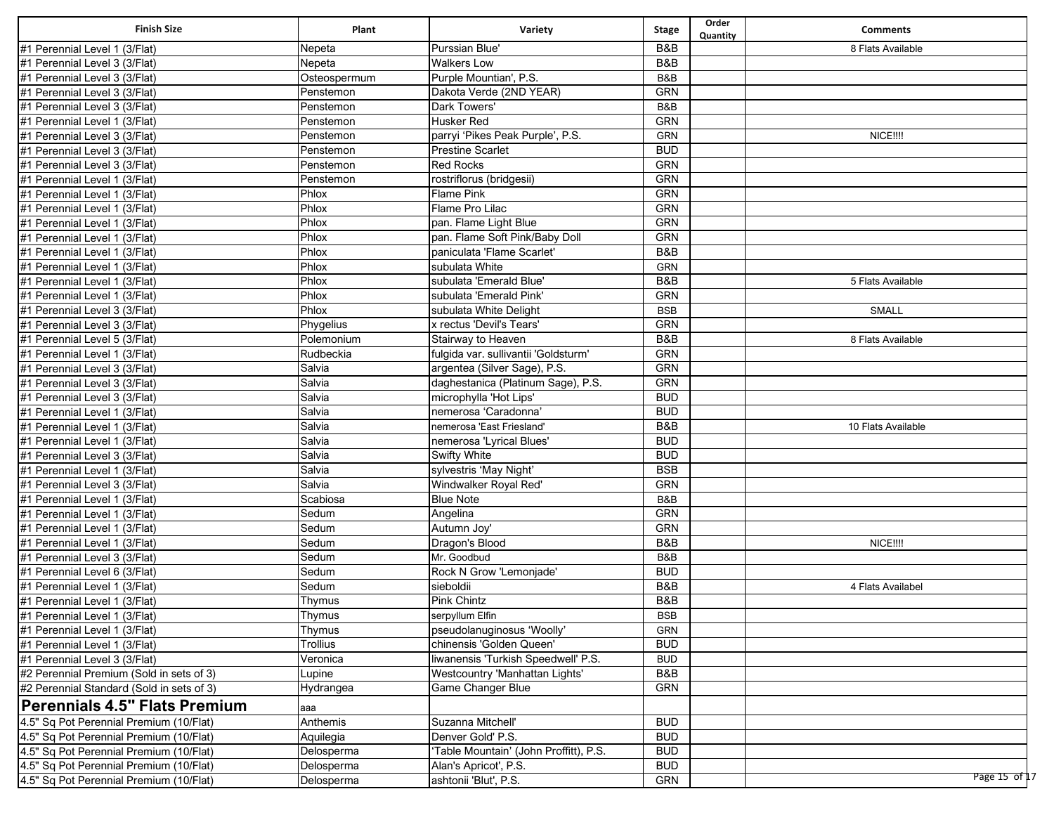| <b>Finish Size</b>                        | Plant        | Variety                                | <b>Stage</b>   | Order<br>Quantity | <b>Comments</b>    |
|-------------------------------------------|--------------|----------------------------------------|----------------|-------------------|--------------------|
| #1 Perennial Level 1 (3/Flat)             | Nepeta       | Purssian Blue'                         | B&B            |                   | 8 Flats Available  |
| #1 Perennial Level 3 (3/Flat)             | Nepeta       | <b>Walkers Low</b>                     | B&B            |                   |                    |
| #1 Perennial Level 3 (3/Flat)             | Osteospermum | Purple Mountian', P.S.                 | B&B            |                   |                    |
| #1 Perennial Level 3 (3/Flat)             | Penstemon    | Dakota Verde (2ND YEAR)                | <b>GRN</b>     |                   |                    |
| #1 Perennial Level 3 (3/Flat)             | Penstemon    | <b>Dark Towers'</b>                    | B&B            |                   |                    |
| #1 Perennial Level 1 (3/Flat)             | Penstemon    | <b>Husker Red</b>                      | <b>GRN</b>     |                   |                    |
| #1 Perennial Level 3 (3/Flat)             | Penstemon    | parryi 'Pikes Peak Purple', P.S.       | GRN            |                   | NICE !!!!          |
| #1 Perennial Level 3 (3/Flat)             | Penstemon    | <b>Prestine Scarlet</b>                | <b>BUD</b>     |                   |                    |
| #1 Perennial Level 3 (3/Flat)             | Penstemon    | <b>Red Rocks</b>                       | <b>GRN</b>     |                   |                    |
| #1 Perennial Level 1 (3/Flat)             | Penstemon    | rostriflorus (bridgesii)               | <b>GRN</b>     |                   |                    |
| #1 Perennial Level 1 (3/Flat)             | Phlox        | <b>Flame Pink</b>                      | <b>GRN</b>     |                   |                    |
| #1 Perennial Level 1 (3/Flat)             | Phlox        | Flame Pro Lilac                        | <b>GRN</b>     |                   |                    |
| #1 Perennial Level 1 (3/Flat)             | Phlox        | pan. Flame Light Blue                  | <b>GRN</b>     |                   |                    |
| #1 Perennial Level 1 (3/Flat)             | Phlox        | pan. Flame Soft Pink/Baby Doll         | <b>GRN</b>     |                   |                    |
| #1 Perennial Level 1 (3/Flat)             | Phlox        | paniculata 'Flame Scarlet'             | B&B            |                   |                    |
| #1 Perennial Level 1 (3/Flat)             | Phlox        | subulata White                         | <b>GRN</b>     |                   |                    |
| #1 Perennial Level 1 (3/Flat)             | Phlox        | subulata 'Emerald Blue'                | B&B            |                   | 5 Flats Available  |
| #1 Perennial Level 1 (3/Flat)             | Phlox        | subulata 'Emerald Pink'                | <b>GRN</b>     |                   |                    |
| #1 Perennial Level 3 (3/Flat)             | Phlox        | subulata White Delight                 | <b>BSB</b>     |                   | <b>SMALL</b>       |
| #1 Perennial Level 3 (3/Flat)             | Phygelius    | x rectus 'Devil's Tears'               | <b>GRN</b>     |                   |                    |
| #1 Perennial Level 5 (3/Flat)             | Polemonium   | Stairway to Heaven                     | B&B            |                   | 8 Flats Available  |
| #1 Perennial Level 1 (3/Flat)             | Rudbeckia    | fulgida var. sullivantii 'Goldsturm'   | <b>GRN</b>     |                   |                    |
| #1 Perennial Level 3 (3/Flat)             | Salvia       | argentea (Silver Sage), P.S.           | <b>GRN</b>     |                   |                    |
| #1 Perennial Level 3 (3/Flat)             | Salvia       | daghestanica (Platinum Sage), P.S.     | <b>GRN</b>     |                   |                    |
| #1 Perennial Level 3 (3/Flat)             | Salvia       | microphylla 'Hot Lips'                 | <b>BUD</b>     |                   |                    |
| #1 Perennial Level 1 (3/Flat)             | Salvia       | nemerosa 'Caradonna'                   | <b>BUD</b>     |                   |                    |
| #1 Perennial Level 1 (3/Flat)             | Salvia       | nemerosa 'East Friesland'              | B&B            |                   | 10 Flats Available |
| #1 Perennial Level 1 (3/Flat)             | Salvia       | nemerosa 'Lyrical Blues'               | <b>BUD</b>     |                   |                    |
| #1 Perennial Level 3 (3/Flat)             | Salvia       | <b>Swifty White</b>                    | <b>BUD</b>     |                   |                    |
| #1 Perennial Level 1 (3/Flat)             | Salvia       | sylvestris 'May Night'                 | <b>BSB</b>     |                   |                    |
| #1 Perennial Level 3 (3/Flat)             | Salvia       | Windwalker Royal Red'                  | <b>GRN</b>     |                   |                    |
| #1 Perennial Level 1 (3/Flat)             | Scabiosa     | <b>Blue Note</b>                       | B&B            |                   |                    |
| #1 Perennial Level 1 (3/Flat)             | Sedum        | Angelina                               | <b>GRN</b>     |                   |                    |
| #1 Perennial Level 1 (3/Flat)             | Sedum        | Autumn Joy'                            | <b>GRN</b>     |                   |                    |
| #1 Perennial Level 1 (3/Flat)             | Sedum        | Dragon's Blood                         | B&B            |                   | NICE !!!!          |
| #1 Perennial Level 3 (3/Flat)             | Sedum        | Mr. Goodbud                            | B&B            |                   |                    |
| #1 Perennial Level 6 (3/Flat)             | Sedum        | Rock N Grow 'Lemonjade'                | <b>BUD</b>     |                   |                    |
| #1 Perennial Level 1 (3/Flat)             | Sedum        | sieboldii                              | B&B            |                   | 4 Flats Availabel  |
| #1 Perennial Level 1 (3/Flat)             | Thymus       | <b>Pink Chintz</b>                     | B&B            |                   |                    |
| #1 Perennial Level 1 (3/Flat)             | Thymus       | serpyllum Elfin                        | <b>BSB</b>     |                   |                    |
| #1 Perennial Level 1 (3/Flat)             | Thymus       | pseudolanuginosus 'Woolly'             | <b>GRN</b>     |                   |                    |
| #1 Perennial Level 1 (3/Flat)             | Trollius     | chinensis 'Golden Queen'               | <b>BUD</b>     |                   |                    |
| #1 Perennial Level 3 (3/Flat)             | Veronica     | liwanensis 'Turkish Speedwell' P.S.    | <b>BUD</b>     |                   |                    |
| #2 Perennial Premium (Sold in sets of 3)  | Lupine       | Westcountry 'Manhattan Lights'         | <b>B&amp;B</b> |                   |                    |
| #2 Perennial Standard (Sold in sets of 3) | Hydrangea    | Game Changer Blue                      | <b>GRN</b>     |                   |                    |
| <b>Perennials 4.5" Flats Premium</b>      | aaa          |                                        |                |                   |                    |
| 4.5" Sq Pot Perennial Premium (10/Flat)   | Anthemis     | Suzanna Mitchell'                      | <b>BUD</b>     |                   |                    |
| 4.5" Sq Pot Perennial Premium (10/Flat)   | Aquilegia    | Denver Gold' P.S.                      | <b>BUD</b>     |                   |                    |
| 4.5" Sq Pot Perennial Premium (10/Flat)   | Delosperma   | 'Table Mountain' (John Proffitt), P.S. | <b>BUD</b>     |                   |                    |
| 4.5" Sq Pot Perennial Premium (10/Flat)   | Delosperma   | Alan's Apricot', P.S.                  | <b>BUD</b>     |                   |                    |
| 4.5" Sq Pot Perennial Premium (10/Flat)   | Delosperma   | ashtonii 'Blut', P.S.                  | GRN            |                   | Page 15 of 17      |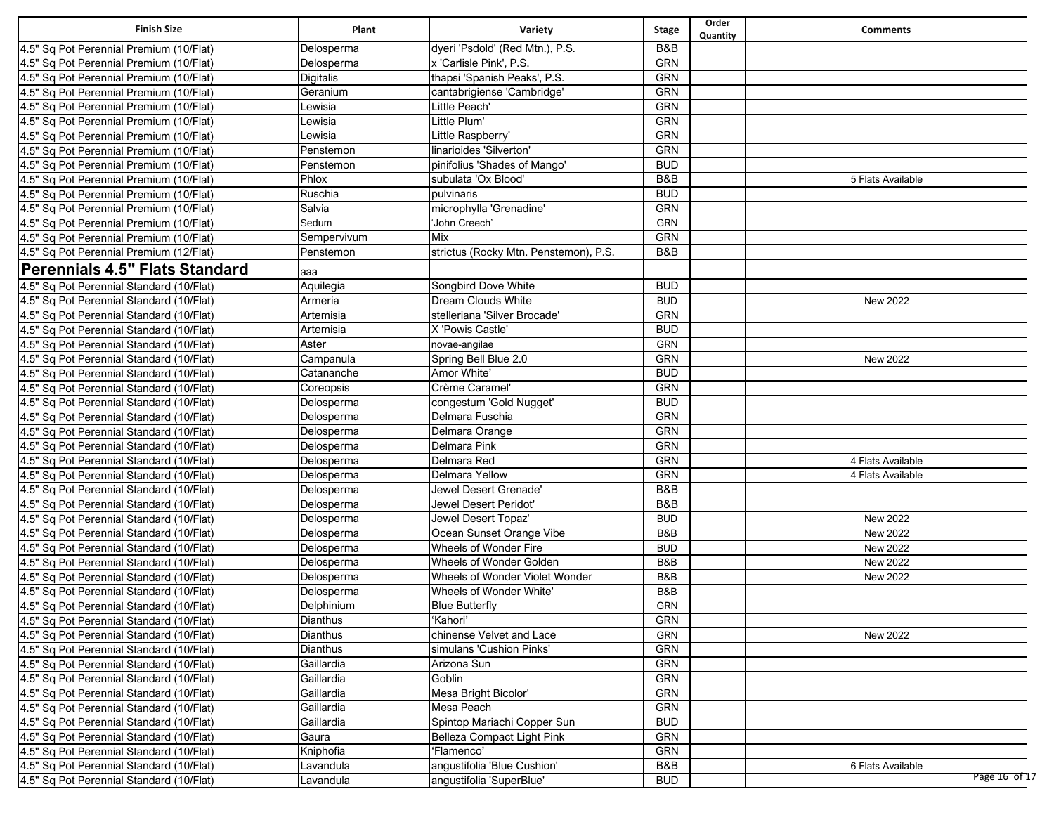| <b>Finish Size</b>                       | Plant       | Variety                               | <b>Stage</b> | Order<br>Quantity | <b>Comments</b>   |
|------------------------------------------|-------------|---------------------------------------|--------------|-------------------|-------------------|
| 4.5" Sq Pot Perennial Premium (10/Flat)  | Delosperma  | dyeri 'Psdold' (Red Mtn.), P.S.       | B&B          |                   |                   |
| 4.5" Sq Pot Perennial Premium (10/Flat)  | Delosperma  | x 'Carlisle Pink', P.S.               | <b>GRN</b>   |                   |                   |
| 4.5" Sq Pot Perennial Premium (10/Flat)  | Digitalis   | thapsi 'Spanish Peaks', P.S.          | <b>GRN</b>   |                   |                   |
| 4.5" Sq Pot Perennial Premium (10/Flat)  | Geranium    | cantabrigiense 'Cambridge'            | <b>GRN</b>   |                   |                   |
| 4.5" Sq Pot Perennial Premium (10/Flat)  | Lewisia     | Little Peach'                         | GRN          |                   |                   |
| 4.5" Sq Pot Perennial Premium (10/Flat)  | Lewisia     | Little Plum'                          | <b>GRN</b>   |                   |                   |
| 4.5" Sq Pot Perennial Premium (10/Flat)  | Lewisia     | Little Raspberry                      | <b>GRN</b>   |                   |                   |
| 4.5" Sq Pot Perennial Premium (10/Flat)  | Penstemon   | linarioides 'Silverton'               | <b>GRN</b>   |                   |                   |
| 4.5" Sq Pot Perennial Premium (10/Flat)  | Penstemon   | pinifolius 'Shades of Mango'          | <b>BUD</b>   |                   |                   |
| 4.5" Sq Pot Perennial Premium (10/Flat)  | Phlox       | subulata 'Ox Blood'                   | B&B          |                   | 5 Flats Available |
| 4.5" Sq Pot Perennial Premium (10/Flat)  | Ruschia     | pulvinaris                            | <b>BUD</b>   |                   |                   |
| 4.5" Sq Pot Perennial Premium (10/Flat)  | Salvia      | microphylla 'Grenadine'               | <b>GRN</b>   |                   |                   |
| 4.5" Sq Pot Perennial Premium (10/Flat)  | Sedum       | 'John Creech'                         | GRN          |                   |                   |
| 4.5" Sq Pot Perennial Premium (10/Flat)  | Sempervivum | Mix                                   | <b>GRN</b>   |                   |                   |
| 4.5" Sq Pot Perennial Premium (12/Flat)  | Penstemon   | strictus (Rocky Mtn. Penstemon), P.S. | B&B          |                   |                   |
| Perennials 4.5" Flats Standard           | aaa         |                                       |              |                   |                   |
| 4.5" Sq Pot Perennial Standard (10/Flat) | Aquilegia   | Songbird Dove White                   | <b>BUD</b>   |                   |                   |
| 4.5" Sq Pot Perennial Standard (10/Flat) | Armeria     | <b>Dream Clouds White</b>             | <b>BUD</b>   |                   | New 2022          |
| 4.5" Sq Pot Perennial Standard (10/Flat) | Artemisia   | stelleriana 'Silver Brocade'          | GRN          |                   |                   |
| 4.5" Sq Pot Perennial Standard (10/Flat) | Artemisia   | X 'Powis Castle'                      | <b>BUD</b>   |                   |                   |
| 4.5" Sq Pot Perennial Standard (10/Flat) | Aster       | novae-angilae                         | <b>GRN</b>   |                   |                   |
| 4.5" Sq Pot Perennial Standard (10/Flat) | Campanula   | Spring Bell Blue 2.0                  | <b>GRN</b>   |                   | New 2022          |
| 4.5" Sq Pot Perennial Standard (10/Flat) | Catananche  | Amor White'                           | <b>BUD</b>   |                   |                   |
| 4.5" Sq Pot Perennial Standard (10/Flat) | Coreopsis   | Crème Caramel'                        | <b>GRN</b>   |                   |                   |
| 4.5" Sq Pot Perennial Standard (10/Flat) | Delosperma  | congestum 'Gold Nugget'               | <b>BUD</b>   |                   |                   |
| 4.5" Sq Pot Perennial Standard (10/Flat) | Delosperma  | Delmara Fuschia                       | <b>GRN</b>   |                   |                   |
| 4.5" Sq Pot Perennial Standard (10/Flat) | Delosperma  | Delmara Orange                        | <b>GRN</b>   |                   |                   |
| 4.5" Sq Pot Perennial Standard (10/Flat) | Delosperma  | Delmara Pink                          | <b>GRN</b>   |                   |                   |
| 4.5" Sq Pot Perennial Standard (10/Flat) | Delosperma  | Delmara Red                           | <b>GRN</b>   |                   | 4 Flats Available |
| 4.5" Sq Pot Perennial Standard (10/Flat) | Delosperma  | Delmara Yellow                        | <b>GRN</b>   |                   | 4 Flats Available |
| 4.5" Sq Pot Perennial Standard (10/Flat) | Delosperma  | Jewel Desert Grenade'                 | B&B          |                   |                   |
| 4.5" Sq Pot Perennial Standard (10/Flat) | Delosperma  | Jewel Desert Peridot'                 | B&B          |                   |                   |
| 4.5" Sq Pot Perennial Standard (10/Flat) | Delosperma  | Jewel Desert Topaz'                   | <b>BUD</b>   |                   | <b>New 2022</b>   |
| 4.5" Sq Pot Perennial Standard (10/Flat) | Delosperma  | Ocean Sunset Orange Vibe              | B&B          |                   | New 2022          |
| 4.5" Sq Pot Perennial Standard (10/Flat) | Delosperma  | Wheels of Wonder Fire                 | <b>BUD</b>   |                   | New 2022          |
| 4.5" Sq Pot Perennial Standard (10/Flat) | Delosperma  | Wheels of Wonder Golden               | B&B          |                   | New 2022          |
| 4.5" Sq Pot Perennial Standard (10/Flat) | Delosperma  | Wheels of Wonder Violet Wonder        | B&B          |                   | New 2022          |
| 4.5" Sq Pot Perennial Standard (10/Flat) | Delosperma  | Wheels of Wonder White'               | B&B          |                   |                   |
| 4.5" Sq Pot Perennial Standard (10/Flat) | Delphinium  | <b>Blue Butterfly</b>                 | GRN          |                   |                   |
| 4.5" Sq Pot Perennial Standard (10/Flat) | Dianthus    | 'Kahori'                              | GRN          |                   |                   |
| 4.5" Sq Pot Perennial Standard (10/Flat) | Dianthus    | chinense Velvet and Lace              | GRN          |                   | New 2022          |
| 4.5" Sq Pot Perennial Standard (10/Flat) | Dianthus    | simulans 'Cushion Pinks'              | GRN          |                   |                   |
| 4.5" Sq Pot Perennial Standard (10/Flat) | Gaillardia  | Arizona Sun                           | GRN          |                   |                   |
| 4.5" Sq Pot Perennial Standard (10/Flat) | Gaillardia  | Goblin                                | GRN          |                   |                   |
| 4.5" Sq Pot Perennial Standard (10/Flat) | Gaillardia  | Mesa Bright Bicolor'                  | GRN          |                   |                   |
| 4.5" Sq Pot Perennial Standard (10/Flat) | Gaillardia  | Mesa Peach                            | GRN          |                   |                   |
| 4.5" Sq Pot Perennial Standard (10/Flat) | Gaillardia  | Spintop Mariachi Copper Sun           | <b>BUD</b>   |                   |                   |
| 4.5" Sq Pot Perennial Standard (10/Flat) | Gaura       | Belleza Compact Light Pink            | GRN          |                   |                   |
| 4.5" Sq Pot Perennial Standard (10/Flat) | Kniphofia   | 'Flamenco'                            | GRN          |                   |                   |
| 4.5" Sq Pot Perennial Standard (10/Flat) | Lavandula   | angustifolia 'Blue Cushion'           | B&B          |                   | 6 Flats Available |
| 4.5" Sq Pot Perennial Standard (10/Flat) | Lavandula   | angustifolia 'SuperBlue'              | <b>BUD</b>   |                   | Page 16 of 17     |